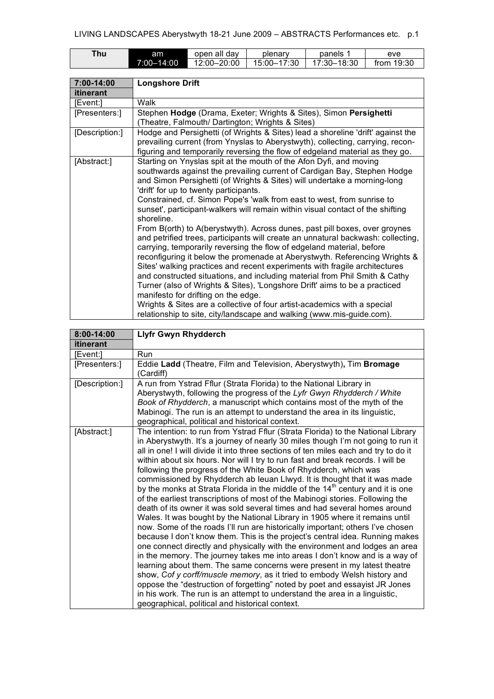| $T$ hu | am         | open all day | plenary     | panels      | eve          |
|--------|------------|--------------|-------------|-------------|--------------|
|        | 7:00-14:00 | 12:00-20:00  | 15:00-17:30 | 17:30–18:30 | from $19:30$ |

| 7:00-14:00     | <b>Longshore Drift</b>                                                                                                                                                                                                                                                                                                                                                                                                                                                                                                                                                                                                                                                                                                                                                                                                                                                                                                                                                                                                                                                                                                                                                                                        |
|----------------|---------------------------------------------------------------------------------------------------------------------------------------------------------------------------------------------------------------------------------------------------------------------------------------------------------------------------------------------------------------------------------------------------------------------------------------------------------------------------------------------------------------------------------------------------------------------------------------------------------------------------------------------------------------------------------------------------------------------------------------------------------------------------------------------------------------------------------------------------------------------------------------------------------------------------------------------------------------------------------------------------------------------------------------------------------------------------------------------------------------------------------------------------------------------------------------------------------------|
| itinerant      |                                                                                                                                                                                                                                                                                                                                                                                                                                                                                                                                                                                                                                                                                                                                                                                                                                                                                                                                                                                                                                                                                                                                                                                                               |
| [Event:]       | Walk                                                                                                                                                                                                                                                                                                                                                                                                                                                                                                                                                                                                                                                                                                                                                                                                                                                                                                                                                                                                                                                                                                                                                                                                          |
| [Presenters:]  | Stephen Hodge (Drama, Exeter; Wrights & Sites), Simon Persighetti<br>(Theatre, Falmouth/ Dartington; Wrights & Sites)                                                                                                                                                                                                                                                                                                                                                                                                                                                                                                                                                                                                                                                                                                                                                                                                                                                                                                                                                                                                                                                                                         |
| [Description:] | Hodge and Persighetti (of Wrights & Sites) lead a shoreline 'drift' against the<br>prevailing current (from Ynyslas to Aberystwyth), collecting, carrying, recon-<br>figuring and temporarily reversing the flow of edgeland material as they go.                                                                                                                                                                                                                                                                                                                                                                                                                                                                                                                                                                                                                                                                                                                                                                                                                                                                                                                                                             |
| [Abstract:]    | Starting on Ynyslas spit at the mouth of the Afon Dyfi, and moving<br>southwards against the prevailing current of Cardigan Bay, Stephen Hodge<br>and Simon Persighetti (of Wrights & Sites) will undertake a morning-long<br>'drift' for up to twenty participants.<br>Constrained, cf. Simon Pope's 'walk from east to west, from sunrise to<br>sunset', participant-walkers will remain within visual contact of the shifting<br>shoreline.<br>From B(orth) to A(berystwyth). Across dunes, past pill boxes, over groynes<br>and petrified trees, participants will create an unnatural backwash: collecting,<br>carrying, temporarily reversing the flow of edgeland material, before<br>reconfiguring it below the promenade at Aberystwyth. Referencing Wrights &<br>Sites' walking practices and recent experiments with fragile architectures<br>and constructed situations, and including material from Phil Smith & Cathy<br>Turner (also of Wrights & Sites), 'Longshore Drift' aims to be a practiced<br>manifesto for drifting on the edge.<br>Wrights & Sites are a collective of four artist-academics with a special<br>relationship to site, city/landscape and walking (www.mis-guide.com). |

| 8:00-14:00     | <b>Llyfr Gwyn Rhydderch</b>                                                                                                                                                                                                                                                                                                                                                                                                                                                                                                                                                                                                                                                                                                                                                                                                                                                                                                                                                                                                                                                                                                                                                                                                                                                                                                                                                                                                                                                                                                                      |
|----------------|--------------------------------------------------------------------------------------------------------------------------------------------------------------------------------------------------------------------------------------------------------------------------------------------------------------------------------------------------------------------------------------------------------------------------------------------------------------------------------------------------------------------------------------------------------------------------------------------------------------------------------------------------------------------------------------------------------------------------------------------------------------------------------------------------------------------------------------------------------------------------------------------------------------------------------------------------------------------------------------------------------------------------------------------------------------------------------------------------------------------------------------------------------------------------------------------------------------------------------------------------------------------------------------------------------------------------------------------------------------------------------------------------------------------------------------------------------------------------------------------------------------------------------------------------|
| itinerant      |                                                                                                                                                                                                                                                                                                                                                                                                                                                                                                                                                                                                                                                                                                                                                                                                                                                                                                                                                                                                                                                                                                                                                                                                                                                                                                                                                                                                                                                                                                                                                  |
| [Event:]       | Run                                                                                                                                                                                                                                                                                                                                                                                                                                                                                                                                                                                                                                                                                                                                                                                                                                                                                                                                                                                                                                                                                                                                                                                                                                                                                                                                                                                                                                                                                                                                              |
| [Presenters:]  | Eddie Ladd (Theatre, Film and Television, Aberystwyth), Tim Bromage<br>(Cardiff)                                                                                                                                                                                                                                                                                                                                                                                                                                                                                                                                                                                                                                                                                                                                                                                                                                                                                                                                                                                                                                                                                                                                                                                                                                                                                                                                                                                                                                                                 |
| [Description:] | A run from Ystrad Fflur (Strata Florida) to the National Library in<br>Aberystwyth, following the progress of the Lyfr Gwyn Rhydderch / White<br>Book of Rhydderch, a manuscript which contains most of the myth of the<br>Mabinogi. The run is an attempt to understand the area in its linguistic,<br>geographical, political and historical context.                                                                                                                                                                                                                                                                                                                                                                                                                                                                                                                                                                                                                                                                                                                                                                                                                                                                                                                                                                                                                                                                                                                                                                                          |
| [Abstract:]    | The intention: to run from Ystrad Fflur (Strata Florida) to the National Library<br>in Aberystwyth. It's a journey of nearly 30 miles though I'm not going to run it<br>all in one! I will divide it into three sections of ten miles each and try to do it<br>within about six hours. Nor will I try to run fast and break records. I will be<br>following the progress of the White Book of Rhydderch, which was<br>commissioned by Rhydderch ab leuan Llwyd. It is thought that it was made<br>by the monks at Strata Florida in the middle of the 14 <sup>th</sup> century and it is one<br>of the earliest transcriptions of most of the Mabinogi stories. Following the<br>death of its owner it was sold several times and had several homes around<br>Wales. It was bought by the National Library in 1905 where it remains until<br>now. Some of the roads I'll run are historically important; others I've chosen<br>because I don't know them. This is the project's central idea. Running makes<br>one connect directly and physically with the environment and lodges an area<br>in the memory. The journey takes me into areas I don't know and is a way of<br>learning about them. The same concerns were present in my latest theatre<br>show, Cof y corff/muscle memory, as it tried to embody Welsh history and<br>oppose the "destruction of forgetting" noted by poet and essayist JR Jones<br>in his work. The run is an attempt to understand the area in a linguistic,<br>geographical, political and historical context. |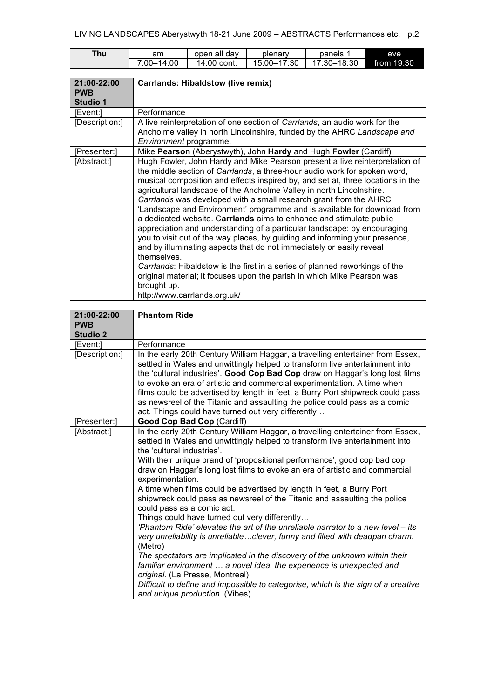| Thu . | am         | open all dav | plenary               | panels      | eve        |
|-------|------------|--------------|-----------------------|-------------|------------|
|       | 7:00-14:00 | 14:00 cont.  | $-17:30$<br>$15:00-.$ | 17:30–18:30 | from 19:30 |

| 21:00-22:00     | <b>Carrlands: Hibaldstow (live remix)</b>                                       |
|-----------------|---------------------------------------------------------------------------------|
| <b>PWB</b>      |                                                                                 |
| <b>Studio 1</b> |                                                                                 |
| [Event:]        | Performance                                                                     |
| [Description:]  | A live reinterpretation of one section of Carrlands, an audio work for the      |
|                 | Ancholme valley in north Lincolnshire, funded by the AHRC Landscape and         |
|                 | Environment programme.                                                          |
| [Presenter:]    | Mike Pearson (Aberystwyth), John Hardy and Hugh Fowler (Cardiff)                |
| [Abstract:]     | Hugh Fowler, John Hardy and Mike Pearson present a live reinterpretation of     |
|                 | the middle section of Carrlands, a three-hour audio work for spoken word,       |
|                 | musical composition and effects inspired by, and set at, three locations in the |
|                 | agricultural landscape of the Ancholme Valley in north Lincolnshire.            |
|                 | Carrlands was developed with a small research grant from the AHRC               |
|                 | 'Landscape and Environment' programme and is available for download from        |
|                 | a dedicated website. Carrlands aims to enhance and stimulate public             |
|                 | appreciation and understanding of a particular landscape: by encouraging        |
|                 | you to visit out of the way places, by guiding and informing your presence,     |
|                 | and by illuminating aspects that do not immediately or easily reveal            |
|                 | themselves.                                                                     |
|                 | Carrlands: Hibaldstow is the first in a series of planned reworkings of the     |
|                 | original material; it focuses upon the parish in which Mike Pearson was         |
|                 | brought up.                                                                     |
|                 | http://www.carrlands.org.uk/                                                    |

| 21:00-22:00     | <b>Phantom Ride</b>                                                                                                                                                                                                                                                                                                                                                                                                                                                                                                                                                                                                                                                                                                                                                                                                                                                                                                                                                                                                                                                                                            |
|-----------------|----------------------------------------------------------------------------------------------------------------------------------------------------------------------------------------------------------------------------------------------------------------------------------------------------------------------------------------------------------------------------------------------------------------------------------------------------------------------------------------------------------------------------------------------------------------------------------------------------------------------------------------------------------------------------------------------------------------------------------------------------------------------------------------------------------------------------------------------------------------------------------------------------------------------------------------------------------------------------------------------------------------------------------------------------------------------------------------------------------------|
| <b>PWB</b>      |                                                                                                                                                                                                                                                                                                                                                                                                                                                                                                                                                                                                                                                                                                                                                                                                                                                                                                                                                                                                                                                                                                                |
| <b>Studio 2</b> |                                                                                                                                                                                                                                                                                                                                                                                                                                                                                                                                                                                                                                                                                                                                                                                                                                                                                                                                                                                                                                                                                                                |
| [Event:]        | Performance                                                                                                                                                                                                                                                                                                                                                                                                                                                                                                                                                                                                                                                                                                                                                                                                                                                                                                                                                                                                                                                                                                    |
| [Description:]  | In the early 20th Century William Haggar, a travelling entertainer from Essex,<br>settled in Wales and unwittingly helped to transform live entertainment into<br>the 'cultural industries'. Good Cop Bad Cop draw on Haggar's long lost films<br>to evoke an era of artistic and commercial experimentation. A time when<br>films could be advertised by length in feet, a Burry Port shipwreck could pass<br>as newsreel of the Titanic and assaulting the police could pass as a comic<br>act. Things could have turned out very differently                                                                                                                                                                                                                                                                                                                                                                                                                                                                                                                                                                |
| [Presenter:]    | Good Cop Bad Cop (Cardiff)                                                                                                                                                                                                                                                                                                                                                                                                                                                                                                                                                                                                                                                                                                                                                                                                                                                                                                                                                                                                                                                                                     |
| [Abstract:]     | In the early 20th Century William Haggar, a travelling entertainer from Essex,<br>settled in Wales and unwittingly helped to transform live entertainment into<br>the 'cultural industries'.<br>With their unique brand of 'propositional performance', good cop bad cop<br>draw on Haggar's long lost films to evoke an era of artistic and commercial<br>experimentation.<br>A time when films could be advertised by length in feet, a Burry Port<br>shipwreck could pass as newsreel of the Titanic and assaulting the police<br>could pass as a comic act.<br>Things could have turned out very differently<br>'Phantom Ride' elevates the art of the unreliable narrator to a new level – its<br>very unreliability is unreliableclever, funny and filled with deadpan charm.<br>(Metro)<br>The spectators are implicated in the discovery of the unknown within their<br>familiar environment  a novel idea, the experience is unexpected and<br>original. (La Presse, Montreal)<br>Difficult to define and impossible to categorise, which is the sign of a creative<br>and unique production. (Vibes) |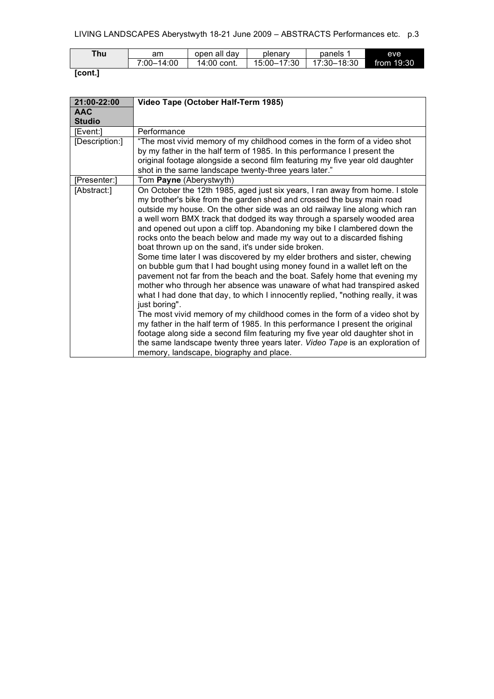| $T$ hu | am                   | open all day     | plenary     | panels      | eve          |
|--------|----------------------|------------------|-------------|-------------|--------------|
|        | $-14:00$<br>$7:00-.$ | 14:00<br>` cont. | 15:00-17:30 | 17:30-18:30 | from $19:30$ |

## **[cont.]**

| 21:00-22:00    | Video Tape (October Half-Term 1985)                                                                                                                                                                                                                                                                                                                                                                                                                                                                                                                                                                                                                                                                                                                                                                                                                                                                                                                                                                                                                                                                                                                                                                                                                                                                                            |
|----------------|--------------------------------------------------------------------------------------------------------------------------------------------------------------------------------------------------------------------------------------------------------------------------------------------------------------------------------------------------------------------------------------------------------------------------------------------------------------------------------------------------------------------------------------------------------------------------------------------------------------------------------------------------------------------------------------------------------------------------------------------------------------------------------------------------------------------------------------------------------------------------------------------------------------------------------------------------------------------------------------------------------------------------------------------------------------------------------------------------------------------------------------------------------------------------------------------------------------------------------------------------------------------------------------------------------------------------------|
| <b>AAC</b>     |                                                                                                                                                                                                                                                                                                                                                                                                                                                                                                                                                                                                                                                                                                                                                                                                                                                                                                                                                                                                                                                                                                                                                                                                                                                                                                                                |
| <b>Studio</b>  |                                                                                                                                                                                                                                                                                                                                                                                                                                                                                                                                                                                                                                                                                                                                                                                                                                                                                                                                                                                                                                                                                                                                                                                                                                                                                                                                |
| [Event:]       | Performance                                                                                                                                                                                                                                                                                                                                                                                                                                                                                                                                                                                                                                                                                                                                                                                                                                                                                                                                                                                                                                                                                                                                                                                                                                                                                                                    |
| [Description:] | "The most vivid memory of my childhood comes in the form of a video shot<br>by my father in the half term of 1985. In this performance I present the<br>original footage alongside a second film featuring my five year old daughter<br>shot in the same landscape twenty-three years later."                                                                                                                                                                                                                                                                                                                                                                                                                                                                                                                                                                                                                                                                                                                                                                                                                                                                                                                                                                                                                                  |
| [Presenter:]   | Tom Payne (Aberystwyth)                                                                                                                                                                                                                                                                                                                                                                                                                                                                                                                                                                                                                                                                                                                                                                                                                                                                                                                                                                                                                                                                                                                                                                                                                                                                                                        |
| [Abstract:]    | On October the 12th 1985, aged just six years, I ran away from home. I stole<br>my brother's bike from the garden shed and crossed the busy main road<br>outside my house. On the other side was an old railway line along which ran<br>a well worn BMX track that dodged its way through a sparsely wooded area<br>and opened out upon a cliff top. Abandoning my bike I clambered down the<br>rocks onto the beach below and made my way out to a discarded fishing<br>boat thrown up on the sand, it's under side broken.<br>Some time later I was discovered by my elder brothers and sister, chewing<br>on bubble gum that I had bought using money found in a wallet left on the<br>pavement not far from the beach and the boat. Safely home that evening my<br>mother who through her absence was unaware of what had transpired asked<br>what I had done that day, to which I innocently replied, "nothing really, it was<br>just boring".<br>The most vivid memory of my childhood comes in the form of a video shot by<br>my father in the half term of 1985. In this performance I present the original<br>footage along side a second film featuring my five year old daughter shot in<br>the same landscape twenty three years later. Video Tape is an exploration of<br>memory, landscape, biography and place. |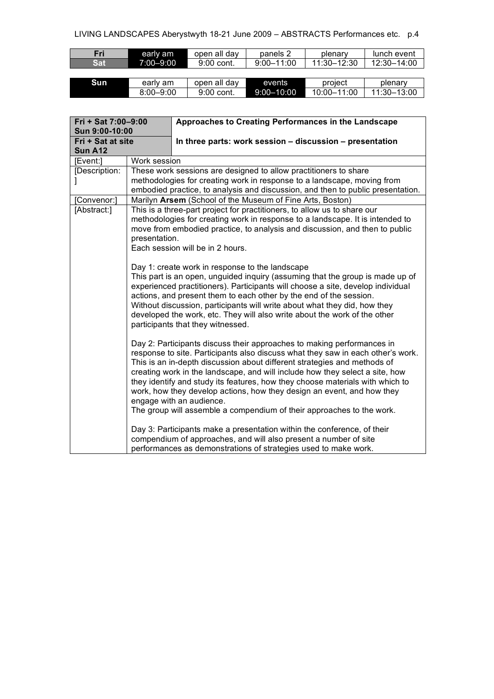## LIVING LANDSCAPES Aberystwyth 18-21 June 2009 – ABSTRACTS Performances etc. p.4

| Fri | early am  | open all day | panels 2       | plenary     | lunch event |
|-----|-----------|--------------|----------------|-------------|-------------|
| Sat | 7:00-9:00 | 9:00 cont.   | $9:00 - 11:00$ | 11:30-12:30 | 12:30-14:00 |
|     |           |              |                |             |             |

| Sun | early am      | open all<br>dav | events     | project          | plenary |
|-----|---------------|-----------------|------------|------------------|---------|
|     | $8:00 - 9:00$ | 9:00 cont.      | 9:00-10:00 | :00<br>$10:00 -$ | 13:00   |

| Fri + Sat 7:00-9:00                                   |                                                                                                                                                                                                                                                                                               | Approaches to Creating Performances in the Landscape                                                                                                                                                                                                                                                                                                                                                                                                                                                                                                                                  |  |  |  |  |  |
|-------------------------------------------------------|-----------------------------------------------------------------------------------------------------------------------------------------------------------------------------------------------------------------------------------------------------------------------------------------------|---------------------------------------------------------------------------------------------------------------------------------------------------------------------------------------------------------------------------------------------------------------------------------------------------------------------------------------------------------------------------------------------------------------------------------------------------------------------------------------------------------------------------------------------------------------------------------------|--|--|--|--|--|
| Sun 9:00-10:00<br>Fri + Sat at site<br><b>Sun A12</b> |                                                                                                                                                                                                                                                                                               | In three parts: work session - discussion - presentation                                                                                                                                                                                                                                                                                                                                                                                                                                                                                                                              |  |  |  |  |  |
| [Event:]                                              | Work session                                                                                                                                                                                                                                                                                  |                                                                                                                                                                                                                                                                                                                                                                                                                                                                                                                                                                                       |  |  |  |  |  |
| [Description:                                         |                                                                                                                                                                                                                                                                                               | These work sessions are designed to allow practitioners to share                                                                                                                                                                                                                                                                                                                                                                                                                                                                                                                      |  |  |  |  |  |
|                                                       |                                                                                                                                                                                                                                                                                               | methodologies for creating work in response to a landscape, moving from                                                                                                                                                                                                                                                                                                                                                                                                                                                                                                               |  |  |  |  |  |
|                                                       |                                                                                                                                                                                                                                                                                               | embodied practice, to analysis and discussion, and then to public presentation.                                                                                                                                                                                                                                                                                                                                                                                                                                                                                                       |  |  |  |  |  |
| [Convenor:]                                           |                                                                                                                                                                                                                                                                                               | Marilyn Arsem (School of the Museum of Fine Arts, Boston)                                                                                                                                                                                                                                                                                                                                                                                                                                                                                                                             |  |  |  |  |  |
| [Abstract:]                                           | This is a three-part project for practitioners, to allow us to share our<br>methodologies for creating work in response to a landscape. It is intended to<br>move from embodied practice, to analysis and discussion, and then to public<br>presentation.<br>Each session will be in 2 hours. |                                                                                                                                                                                                                                                                                                                                                                                                                                                                                                                                                                                       |  |  |  |  |  |
|                                                       |                                                                                                                                                                                                                                                                                               | Day 1: create work in response to the landscape<br>This part is an open, unguided inquiry (assuming that the group is made up of<br>experienced practitioners). Participants will choose a site, develop individual<br>actions, and present them to each other by the end of the session.<br>Without discussion, participants will write about what they did, how they<br>developed the work, etc. They will also write about the work of the other<br>participants that they witnessed.                                                                                              |  |  |  |  |  |
|                                                       |                                                                                                                                                                                                                                                                                               | Day 2: Participants discuss their approaches to making performances in<br>response to site. Participants also discuss what they saw in each other's work.<br>This is an in-depth discussion about different strategies and methods of<br>creating work in the landscape, and will include how they select a site, how<br>they identify and study its features, how they choose materials with which to<br>work, how they develop actions, how they design an event, and how they<br>engage with an audience.<br>The group will assemble a compendium of their approaches to the work. |  |  |  |  |  |
|                                                       | Day 3: Participants make a presentation within the conference, of their<br>compendium of approaches, and will also present a number of site<br>performances as demonstrations of strategies used to make work.                                                                                |                                                                                                                                                                                                                                                                                                                                                                                                                                                                                                                                                                                       |  |  |  |  |  |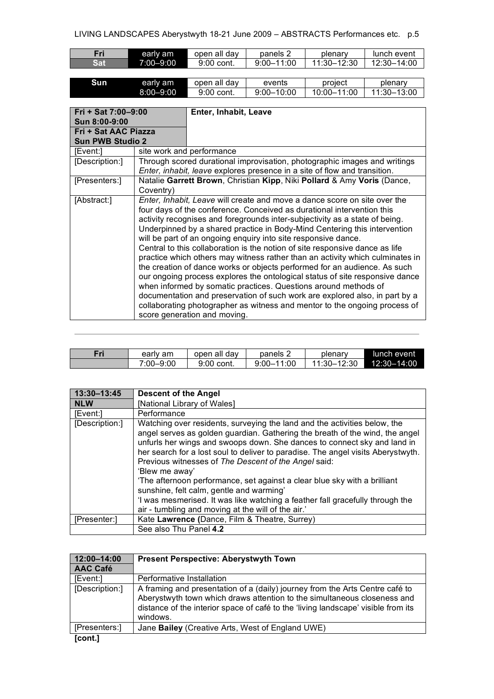| Fri | early am  | open all day | panels 2       | plenarv     | lunch event |
|-----|-----------|--------------|----------------|-------------|-------------|
| Sat | 7:00-9:00 | 9:00 cont.   | $9.00 - 11.00$ | 11:30-12:30 | 12:30-14:00 |
|     |           |              |                |             |             |

| <b>Sun</b> | early am      | open all day | events         | project     | plenarv     |
|------------|---------------|--------------|----------------|-------------|-------------|
|            | $8:00 - 9:00$ | 9:00 cont.   | $9:00 - 10:00$ | 10:00-11:00 | 11:30-13:00 |

| $Fit + Sat 7:00-9:00$<br>Sun 8:00-9:00          |                                                                                                                                                                                                                                                                                                                                                                                                                                                                                                                                                                                                                                                                                                                                                                                                                                                                                                                                                                                                     | Enter, Inhabit, Leave                                                                                                                                  |
|-------------------------------------------------|-----------------------------------------------------------------------------------------------------------------------------------------------------------------------------------------------------------------------------------------------------------------------------------------------------------------------------------------------------------------------------------------------------------------------------------------------------------------------------------------------------------------------------------------------------------------------------------------------------------------------------------------------------------------------------------------------------------------------------------------------------------------------------------------------------------------------------------------------------------------------------------------------------------------------------------------------------------------------------------------------------|--------------------------------------------------------------------------------------------------------------------------------------------------------|
| Fri + Sat AAC Piazza<br><b>Sun PWB Studio 2</b> |                                                                                                                                                                                                                                                                                                                                                                                                                                                                                                                                                                                                                                                                                                                                                                                                                                                                                                                                                                                                     |                                                                                                                                                        |
| [Event:]                                        | site work and performance                                                                                                                                                                                                                                                                                                                                                                                                                                                                                                                                                                                                                                                                                                                                                                                                                                                                                                                                                                           |                                                                                                                                                        |
| [Description:]                                  |                                                                                                                                                                                                                                                                                                                                                                                                                                                                                                                                                                                                                                                                                                                                                                                                                                                                                                                                                                                                     | Through scored durational improvisation, photographic images and writings<br>Enter, inhabit, leave explores presence in a site of flow and transition. |
| [Presenters:]                                   | Natalie Garrett Brown, Christian Kipp, Niki Pollard & Amy Voris (Dance,                                                                                                                                                                                                                                                                                                                                                                                                                                                                                                                                                                                                                                                                                                                                                                                                                                                                                                                             |                                                                                                                                                        |
| [Abstract:]                                     | Coventry)<br><i>Enter, Inhabit, Leave</i> will create and move a dance score on site over the<br>four days of the conference. Conceived as durational intervention this<br>activity recognises and foregrounds inter-subjectivity as a state of being.<br>Underpinned by a shared practice in Body-Mind Centering this intervention<br>will be part of an ongoing enquiry into site responsive dance.<br>Central to this collaboration is the notion of site responsive dance as life<br>practice which others may witness rather than an activity which culminates in<br>the creation of dance works or objects performed for an audience. As such<br>our ongoing process explores the ontological status of site responsive dance<br>when informed by somatic practices. Questions around methods of<br>documentation and preservation of such work are explored also, in part by a<br>collaborating photographer as witness and mentor to the ongoing process of<br>score generation and moving. |                                                                                                                                                        |

| Fri | early am      | open all dav | panels 2       | plenary         | lunch event     |
|-----|---------------|--------------|----------------|-----------------|-----------------|
|     | $7:00 - 9:00$ | 9:00 cont.   | $9:00 - 11:00$ | $11:30 - 12:30$ | $12:30 - 14:00$ |

| 13:30-13:45    | Descent of the Angel                                                                                                                                                                                                                                                                                                                                                                                                                                                                                                                                                                                                                                               |
|----------------|--------------------------------------------------------------------------------------------------------------------------------------------------------------------------------------------------------------------------------------------------------------------------------------------------------------------------------------------------------------------------------------------------------------------------------------------------------------------------------------------------------------------------------------------------------------------------------------------------------------------------------------------------------------------|
| <b>NLW</b>     | [National Library of Wales]                                                                                                                                                                                                                                                                                                                                                                                                                                                                                                                                                                                                                                        |
| <b>IEvent:</b> | Performance                                                                                                                                                                                                                                                                                                                                                                                                                                                                                                                                                                                                                                                        |
| [Description:] | Watching over residents, surveying the land and the activities below, the<br>angel serves as golden guardian. Gathering the breath of the wind, the angel<br>unfurls her wings and swoops down. She dances to connect sky and land in<br>her search for a lost soul to deliver to paradise. The angel visits Aberystwyth.<br>Previous witnesses of The Descent of the Angel said:<br>'Blew me away'<br>The afternoon performance, set against a clear blue sky with a brilliant<br>sunshine, felt calm, gentle and warming'<br>'I was mesmerised. It was like watching a feather fall gracefully through the<br>air - tumbling and moving at the will of the air.' |
| [Presenter:]   | Kate Lawrence (Dance, Film & Theatre, Surrey)                                                                                                                                                                                                                                                                                                                                                                                                                                                                                                                                                                                                                      |
|                | See also Thu Panel 4.2                                                                                                                                                                                                                                                                                                                                                                                                                                                                                                                                                                                                                                             |

| 12:00-14:00     | <b>Present Perspective: Aberystwyth Town</b>                                                                                                                                                                                                              |
|-----------------|-----------------------------------------------------------------------------------------------------------------------------------------------------------------------------------------------------------------------------------------------------------|
| <b>AAC Café</b> |                                                                                                                                                                                                                                                           |
| [Event:]        | Performative Installation                                                                                                                                                                                                                                 |
| [Description:]  | A framing and presentation of a (daily) journey from the Arts Centre café to<br>Aberystwyth town which draws attention to the simultaneous closeness and<br>distance of the interior space of café to the 'living landscape' visible from its<br>windows. |
| [Presenters:]   | Jane Bailey (Creative Arts, West of England UWE)                                                                                                                                                                                                          |
| Tront 1         |                                                                                                                                                                                                                                                           |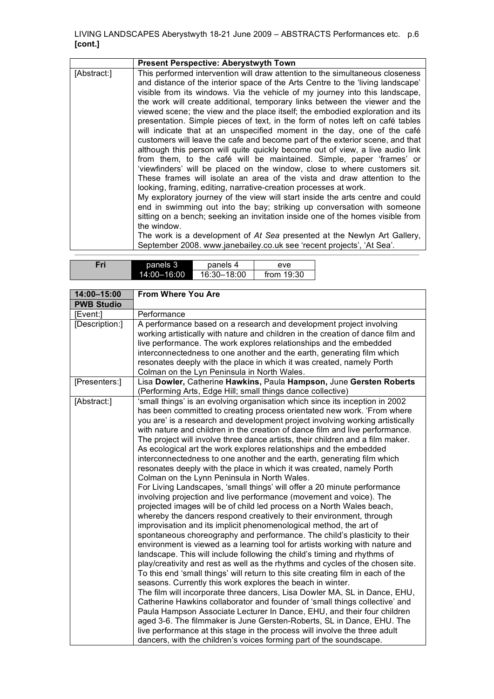|             | <b>Present Perspective: Aberystwyth Town</b>                                                                                                                                                                                                                                                                                                                                                                                                                                                                                                                                                                                                                                                                                                                                                                                                                                                                                                                                                                                                                                                                                                                                                                                                                                                                                                                                                                                                                           |
|-------------|------------------------------------------------------------------------------------------------------------------------------------------------------------------------------------------------------------------------------------------------------------------------------------------------------------------------------------------------------------------------------------------------------------------------------------------------------------------------------------------------------------------------------------------------------------------------------------------------------------------------------------------------------------------------------------------------------------------------------------------------------------------------------------------------------------------------------------------------------------------------------------------------------------------------------------------------------------------------------------------------------------------------------------------------------------------------------------------------------------------------------------------------------------------------------------------------------------------------------------------------------------------------------------------------------------------------------------------------------------------------------------------------------------------------------------------------------------------------|
| [Abstract:] | This performed intervention will draw attention to the simultaneous closeness<br>and distance of the interior space of the Arts Centre to the 'living landscape'<br>visible from its windows. Via the vehicle of my journey into this landscape,<br>the work will create additional, temporary links between the viewer and the<br>viewed scene; the view and the place itself; the embodied exploration and its<br>presentation. Simple pieces of text, in the form of notes left on café tables<br>will indicate that at an unspecified moment in the day, one of the café<br>customers will leave the cafe and become part of the exterior scene, and that<br>although this person will quite quickly become out of view, a live audio link<br>from them, to the café will be maintained. Simple, paper 'frames' or<br>'viewfinders' will be placed on the window, close to where customers sit.<br>These frames will isolate an area of the vista and draw attention to the<br>looking, framing, editing, narrative-creation processes at work.<br>My exploratory journey of the view will start inside the arts centre and could<br>end in swimming out into the bay; striking up conversation with someone<br>sitting on a bench; seeking an invitation inside one of the homes visible from<br>the window.<br>The work is a development of At Sea presented at the Newlyn Art Gallery,<br>September 2008. www.janebailey.co.uk see 'recent projects', 'At Sea'. |
|             |                                                                                                                                                                                                                                                                                                                                                                                                                                                                                                                                                                                                                                                                                                                                                                                                                                                                                                                                                                                                                                                                                                                                                                                                                                                                                                                                                                                                                                                                        |

| Fri | panels 3        | panels 4    | eve          |
|-----|-----------------|-------------|--------------|
|     | $14:00 - 16:00$ | 16:30-18:00 | from $19:30$ |

| 14:00-15:00       | <b>From Where You Are</b>                                                                                                                                                                                                                                                                                                                                                                                                                                                                                                                                                                                                                                                                                                                                                                                                                                                                                                                                                                                                                                                                                                                                                                                                                                                                                                                                                                                                                                                                                                                                                                                                                                                                                                                                                                                                                                                                                                                                                                                         |
|-------------------|-------------------------------------------------------------------------------------------------------------------------------------------------------------------------------------------------------------------------------------------------------------------------------------------------------------------------------------------------------------------------------------------------------------------------------------------------------------------------------------------------------------------------------------------------------------------------------------------------------------------------------------------------------------------------------------------------------------------------------------------------------------------------------------------------------------------------------------------------------------------------------------------------------------------------------------------------------------------------------------------------------------------------------------------------------------------------------------------------------------------------------------------------------------------------------------------------------------------------------------------------------------------------------------------------------------------------------------------------------------------------------------------------------------------------------------------------------------------------------------------------------------------------------------------------------------------------------------------------------------------------------------------------------------------------------------------------------------------------------------------------------------------------------------------------------------------------------------------------------------------------------------------------------------------------------------------------------------------------------------------------------------------|
| <b>PWB Studio</b> |                                                                                                                                                                                                                                                                                                                                                                                                                                                                                                                                                                                                                                                                                                                                                                                                                                                                                                                                                                                                                                                                                                                                                                                                                                                                                                                                                                                                                                                                                                                                                                                                                                                                                                                                                                                                                                                                                                                                                                                                                   |
| [Event:]          | Performance                                                                                                                                                                                                                                                                                                                                                                                                                                                                                                                                                                                                                                                                                                                                                                                                                                                                                                                                                                                                                                                                                                                                                                                                                                                                                                                                                                                                                                                                                                                                                                                                                                                                                                                                                                                                                                                                                                                                                                                                       |
| [Description:]    | A performance based on a research and development project involving<br>working artistically with nature and children in the creation of dance film and<br>live performance. The work explores relationships and the embedded<br>interconnectedness to one another and the earth, generating film which<br>resonates deeply with the place in which it was created, namely Porth<br>Colman on the Lyn Peninsula in North Wales.                                                                                                                                                                                                                                                                                                                                                                                                                                                                                                                                                                                                                                                                                                                                                                                                                                                                                                                                                                                                                                                                                                                                                                                                                                                                                                                                                                                                                                                                                                                                                                                    |
| [Presenters:]     | Lisa Dowler, Catherine Hawkins, Paula Hampson, June Gersten Roberts<br>(Performing Arts, Edge Hill; small things dance collective)                                                                                                                                                                                                                                                                                                                                                                                                                                                                                                                                                                                                                                                                                                                                                                                                                                                                                                                                                                                                                                                                                                                                                                                                                                                                                                                                                                                                                                                                                                                                                                                                                                                                                                                                                                                                                                                                                |
| [Abstract:]       | 'small things' is an evolving organisation which since its inception in 2002<br>has been committed to creating process orientated new work. 'From where<br>you are' is a research and development project involving working artistically<br>with nature and children in the creation of dance film and live performance.<br>The project will involve three dance artists, their children and a film maker.<br>As ecological art the work explores relationships and the embedded<br>interconnectedness to one another and the earth, generating film which<br>resonates deeply with the place in which it was created, namely Porth<br>Colman on the Lynn Peninsula in North Wales.<br>For Living Landscapes, 'small things' will offer a 20 minute performance<br>involving projection and live performance (movement and voice). The<br>projected images will be of child led process on a North Wales beach,<br>whereby the dancers respond creatively to their environment, through<br>improvisation and its implicit phenomenological method, the art of<br>spontaneous choreography and performance. The child's plasticity to their<br>environment is viewed as a learning tool for artists working with nature and<br>landscape. This will include following the child's timing and rhythms of<br>play/creativity and rest as well as the rhythms and cycles of the chosen site.<br>To this end 'small things' will return to this site creating film in each of the<br>seasons. Currently this work explores the beach in winter.<br>The film will incorporate three dancers, Lisa Dowler MA, SL in Dance, EHU,<br>Catherine Hawkins collaborator and founder of 'small things collective' and<br>Paula Hampson Associate Lecturer In Dance, EHU, and their four children<br>aged 3-6. The filmmaker is June Gersten-Roberts, SL in Dance, EHU. The<br>live performance at this stage in the process will involve the three adult<br>dancers, with the children's voices forming part of the soundscape. |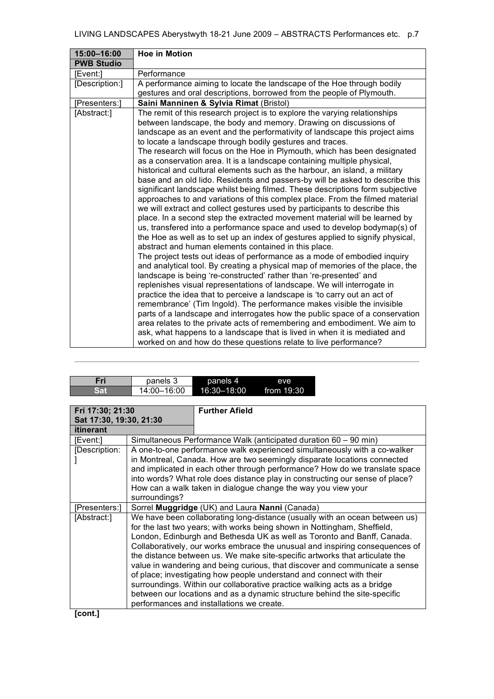| 15:00-16:00       | <b>Hoe in Motion</b>                                                                                                                                                                                                                                                                                                                                                                                                                                                                                                                                                                                                                                                                                                                                                                                                                                                                                                                                                                                                                                                                                                                                                                                                                               |
|-------------------|----------------------------------------------------------------------------------------------------------------------------------------------------------------------------------------------------------------------------------------------------------------------------------------------------------------------------------------------------------------------------------------------------------------------------------------------------------------------------------------------------------------------------------------------------------------------------------------------------------------------------------------------------------------------------------------------------------------------------------------------------------------------------------------------------------------------------------------------------------------------------------------------------------------------------------------------------------------------------------------------------------------------------------------------------------------------------------------------------------------------------------------------------------------------------------------------------------------------------------------------------|
| <b>PWB Studio</b> |                                                                                                                                                                                                                                                                                                                                                                                                                                                                                                                                                                                                                                                                                                                                                                                                                                                                                                                                                                                                                                                                                                                                                                                                                                                    |
| [Event:]          | Performance                                                                                                                                                                                                                                                                                                                                                                                                                                                                                                                                                                                                                                                                                                                                                                                                                                                                                                                                                                                                                                                                                                                                                                                                                                        |
| [Description:]    | A performance aiming to locate the landscape of the Hoe through bodily                                                                                                                                                                                                                                                                                                                                                                                                                                                                                                                                                                                                                                                                                                                                                                                                                                                                                                                                                                                                                                                                                                                                                                             |
|                   | gestures and oral descriptions, borrowed from the people of Plymouth.                                                                                                                                                                                                                                                                                                                                                                                                                                                                                                                                                                                                                                                                                                                                                                                                                                                                                                                                                                                                                                                                                                                                                                              |
| [Presenters:]     | Saini Manninen & Sylvia Rimat (Bristol)                                                                                                                                                                                                                                                                                                                                                                                                                                                                                                                                                                                                                                                                                                                                                                                                                                                                                                                                                                                                                                                                                                                                                                                                            |
| [Abstract:]       | The remit of this research project is to explore the varying relationships                                                                                                                                                                                                                                                                                                                                                                                                                                                                                                                                                                                                                                                                                                                                                                                                                                                                                                                                                                                                                                                                                                                                                                         |
|                   | between landscape, the body and memory. Drawing on discussions of                                                                                                                                                                                                                                                                                                                                                                                                                                                                                                                                                                                                                                                                                                                                                                                                                                                                                                                                                                                                                                                                                                                                                                                  |
|                   | landscape as an event and the performativity of landscape this project aims                                                                                                                                                                                                                                                                                                                                                                                                                                                                                                                                                                                                                                                                                                                                                                                                                                                                                                                                                                                                                                                                                                                                                                        |
|                   | to locate a landscape through bodily gestures and traces.                                                                                                                                                                                                                                                                                                                                                                                                                                                                                                                                                                                                                                                                                                                                                                                                                                                                                                                                                                                                                                                                                                                                                                                          |
|                   | The research will focus on the Hoe in Plymouth, which has been designated                                                                                                                                                                                                                                                                                                                                                                                                                                                                                                                                                                                                                                                                                                                                                                                                                                                                                                                                                                                                                                                                                                                                                                          |
|                   | as a conservation area. It is a landscape containing multiple physical,                                                                                                                                                                                                                                                                                                                                                                                                                                                                                                                                                                                                                                                                                                                                                                                                                                                                                                                                                                                                                                                                                                                                                                            |
|                   | historical and cultural elements such as the harbour, an island, a military                                                                                                                                                                                                                                                                                                                                                                                                                                                                                                                                                                                                                                                                                                                                                                                                                                                                                                                                                                                                                                                                                                                                                                        |
|                   | base and an old lido. Residents and passers-by will be asked to describe this                                                                                                                                                                                                                                                                                                                                                                                                                                                                                                                                                                                                                                                                                                                                                                                                                                                                                                                                                                                                                                                                                                                                                                      |
|                   | significant landscape whilst being filmed. These descriptions form subjective                                                                                                                                                                                                                                                                                                                                                                                                                                                                                                                                                                                                                                                                                                                                                                                                                                                                                                                                                                                                                                                                                                                                                                      |
|                   |                                                                                                                                                                                                                                                                                                                                                                                                                                                                                                                                                                                                                                                                                                                                                                                                                                                                                                                                                                                                                                                                                                                                                                                                                                                    |
|                   |                                                                                                                                                                                                                                                                                                                                                                                                                                                                                                                                                                                                                                                                                                                                                                                                                                                                                                                                                                                                                                                                                                                                                                                                                                                    |
|                   |                                                                                                                                                                                                                                                                                                                                                                                                                                                                                                                                                                                                                                                                                                                                                                                                                                                                                                                                                                                                                                                                                                                                                                                                                                                    |
|                   |                                                                                                                                                                                                                                                                                                                                                                                                                                                                                                                                                                                                                                                                                                                                                                                                                                                                                                                                                                                                                                                                                                                                                                                                                                                    |
|                   |                                                                                                                                                                                                                                                                                                                                                                                                                                                                                                                                                                                                                                                                                                                                                                                                                                                                                                                                                                                                                                                                                                                                                                                                                                                    |
|                   |                                                                                                                                                                                                                                                                                                                                                                                                                                                                                                                                                                                                                                                                                                                                                                                                                                                                                                                                                                                                                                                                                                                                                                                                                                                    |
|                   |                                                                                                                                                                                                                                                                                                                                                                                                                                                                                                                                                                                                                                                                                                                                                                                                                                                                                                                                                                                                                                                                                                                                                                                                                                                    |
|                   |                                                                                                                                                                                                                                                                                                                                                                                                                                                                                                                                                                                                                                                                                                                                                                                                                                                                                                                                                                                                                                                                                                                                                                                                                                                    |
|                   |                                                                                                                                                                                                                                                                                                                                                                                                                                                                                                                                                                                                                                                                                                                                                                                                                                                                                                                                                                                                                                                                                                                                                                                                                                                    |
|                   |                                                                                                                                                                                                                                                                                                                                                                                                                                                                                                                                                                                                                                                                                                                                                                                                                                                                                                                                                                                                                                                                                                                                                                                                                                                    |
|                   |                                                                                                                                                                                                                                                                                                                                                                                                                                                                                                                                                                                                                                                                                                                                                                                                                                                                                                                                                                                                                                                                                                                                                                                                                                                    |
|                   |                                                                                                                                                                                                                                                                                                                                                                                                                                                                                                                                                                                                                                                                                                                                                                                                                                                                                                                                                                                                                                                                                                                                                                                                                                                    |
|                   |                                                                                                                                                                                                                                                                                                                                                                                                                                                                                                                                                                                                                                                                                                                                                                                                                                                                                                                                                                                                                                                                                                                                                                                                                                                    |
|                   |                                                                                                                                                                                                                                                                                                                                                                                                                                                                                                                                                                                                                                                                                                                                                                                                                                                                                                                                                                                                                                                                                                                                                                                                                                                    |
|                   |                                                                                                                                                                                                                                                                                                                                                                                                                                                                                                                                                                                                                                                                                                                                                                                                                                                                                                                                                                                                                                                                                                                                                                                                                                                    |
|                   | approaches to and variations of this complex place. From the filmed material<br>we will extract and collect gestures used by participants to describe this<br>place. In a second step the extracted movement material will be learned by<br>us, transfered into a performance space and used to develop bodymap(s) of<br>the Hoe as well as to set up an index of gestures applied to signify physical,<br>abstract and human elements contained in this place.<br>The project tests out ideas of performance as a mode of embodied inquiry<br>and analytical tool. By creating a physical map of memories of the place, the<br>landscape is being 're-constructed' rather than 're-presented' and<br>replenishes visual representations of landscape. We will interrogate in<br>practice the idea that to perceive a landscape is 'to carry out an act of<br>remembrance' (Tim Ingold). The performance makes visible the invisible<br>parts of a landscape and interrogates how the public space of a conservation<br>area relates to the private acts of remembering and embodiment. We aim to<br>ask, what happens to a landscape that is lived in when it is mediated and<br>worked on and how do these questions relate to live performance? |

| Fri | panels 3    | panels 4    | eve        |
|-----|-------------|-------------|------------|
| Sat | 14:00-16:00 | 16:30-18:00 | from 19:30 |

| Fri 17:30; 21:30        |               | <b>Further Afield</b>                                                        |  |  |
|-------------------------|---------------|------------------------------------------------------------------------------|--|--|
| Sat 17:30, 19:30, 21:30 |               |                                                                              |  |  |
| <b>itinerant</b>        |               |                                                                              |  |  |
| [Event:]                |               | Simultaneous Performance Walk (anticipated duration 60 – 90 min)             |  |  |
| [Description:           |               | A one-to-one performance walk experienced simultaneously with a co-walker    |  |  |
|                         |               | in Montreal, Canada. How are two seemingly disparate locations connected     |  |  |
|                         |               | and implicated in each other through performance? How do we translate space  |  |  |
|                         |               | into words? What role does distance play in constructing our sense of place? |  |  |
|                         |               | How can a walk taken in dialogue change the way you view your                |  |  |
|                         | surroundings? |                                                                              |  |  |
| [Presenters:]           |               | Sorrel Muggridge (UK) and Laura Nanni (Canada)                               |  |  |
| [Abstract:]             |               | We have been collaborating long-distance (usually with an ocean between us)  |  |  |
|                         |               | for the last two years; with works being shown in Nottingham, Sheffield,     |  |  |
|                         |               | London, Edinburgh and Bethesda UK as well as Toronto and Banff, Canada.      |  |  |
|                         |               | Collaboratively, our works embrace the unusual and inspiring consequences of |  |  |
|                         |               | the distance between us. We make site-specific artworks that articulate the  |  |  |
|                         |               | value in wandering and being curious, that discover and communicate a sense  |  |  |
|                         |               | of place; investigating how people understand and connect with their         |  |  |
|                         |               | surroundings. Within our collaborative practice walking acts as a bridge     |  |  |
|                         |               | between our locations and as a dynamic structure behind the site-specific    |  |  |
|                         |               | performances and installations we create.                                    |  |  |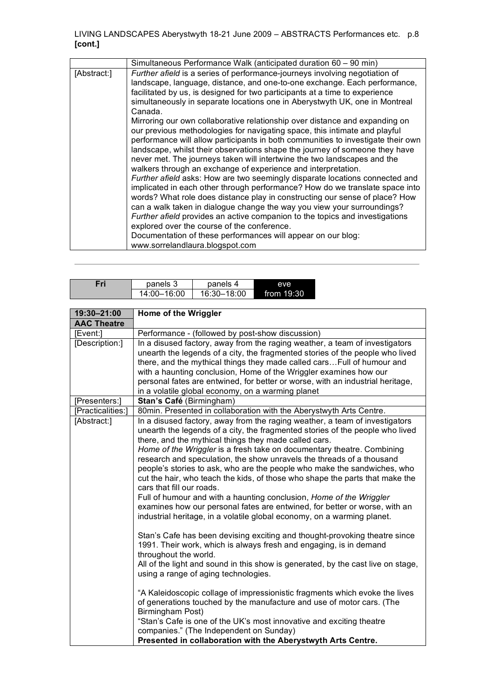|             | Simultaneous Performance Walk (anticipated duration 60 – 90 min)                                                                                                                                                                                                                                                                                                                                                                                                                                                                                                                                                                                                                                                                                                                                                                                                                                                                                                                                                                                                                                                                                                                                                                                                                                                                                                           |
|-------------|----------------------------------------------------------------------------------------------------------------------------------------------------------------------------------------------------------------------------------------------------------------------------------------------------------------------------------------------------------------------------------------------------------------------------------------------------------------------------------------------------------------------------------------------------------------------------------------------------------------------------------------------------------------------------------------------------------------------------------------------------------------------------------------------------------------------------------------------------------------------------------------------------------------------------------------------------------------------------------------------------------------------------------------------------------------------------------------------------------------------------------------------------------------------------------------------------------------------------------------------------------------------------------------------------------------------------------------------------------------------------|
| [Abstract:] | Further afield is a series of performance-journeys involving negotiation of<br>landscape, language, distance, and one-to-one exchange. Each performance,<br>facilitated by us, is designed for two participants at a time to experience<br>simultaneously in separate locations one in Aberystwyth UK, one in Montreal<br>Canada.<br>Mirroring our own collaborative relationship over distance and expanding on<br>our previous methodologies for navigating space, this intimate and playful<br>performance will allow participants in both communities to investigate their own<br>landscape, whilst their observations shape the journey of someone they have<br>never met. The journeys taken will intertwine the two landscapes and the<br>walkers through an exchange of experience and interpretation.<br>Further afield asks: How are two seemingly disparate locations connected and<br>implicated in each other through performance? How do we translate space into<br>words? What role does distance play in constructing our sense of place? How<br>can a walk taken in dialogue change the way you view your surroundings?<br>Further afield provides an active companion to the topics and investigations<br>explored over the course of the conference.<br>Documentation of these performances will appear on our blog:<br>www.sorrelandlaura.blogspot.com |

| Fri | panels 3    | panels 4    | eve          |  |
|-----|-------------|-------------|--------------|--|
|     | 14:00-16:00 | 16:30-18:00 | from $19:30$ |  |

| 19:30-21:00        | Home of the Wriggler                                                                                                                                                                                                                                                                                                                                                                                                                                                                                                                                                                                                                                                                                                                                                                                                                                                                                                                                                                                                                                                                                                                                                                                                                                                                                                                                                                                                                                                      |
|--------------------|---------------------------------------------------------------------------------------------------------------------------------------------------------------------------------------------------------------------------------------------------------------------------------------------------------------------------------------------------------------------------------------------------------------------------------------------------------------------------------------------------------------------------------------------------------------------------------------------------------------------------------------------------------------------------------------------------------------------------------------------------------------------------------------------------------------------------------------------------------------------------------------------------------------------------------------------------------------------------------------------------------------------------------------------------------------------------------------------------------------------------------------------------------------------------------------------------------------------------------------------------------------------------------------------------------------------------------------------------------------------------------------------------------------------------------------------------------------------------|
| <b>AAC Theatre</b> |                                                                                                                                                                                                                                                                                                                                                                                                                                                                                                                                                                                                                                                                                                                                                                                                                                                                                                                                                                                                                                                                                                                                                                                                                                                                                                                                                                                                                                                                           |
| [Event:]           | Performance - (followed by post-show discussion)                                                                                                                                                                                                                                                                                                                                                                                                                                                                                                                                                                                                                                                                                                                                                                                                                                                                                                                                                                                                                                                                                                                                                                                                                                                                                                                                                                                                                          |
| [Description:]     | In a disused factory, away from the raging weather, a team of investigators<br>unearth the legends of a city, the fragmented stories of the people who lived<br>there, and the mythical things they made called cars Full of humour and<br>with a haunting conclusion, Home of the Wriggler examines how our<br>personal fates are entwined, for better or worse, with an industrial heritage,<br>in a volatile global economy, on a warming planet                                                                                                                                                                                                                                                                                                                                                                                                                                                                                                                                                                                                                                                                                                                                                                                                                                                                                                                                                                                                                       |
| [Presenters:]      | Stan's Café (Birmingham)                                                                                                                                                                                                                                                                                                                                                                                                                                                                                                                                                                                                                                                                                                                                                                                                                                                                                                                                                                                                                                                                                                                                                                                                                                                                                                                                                                                                                                                  |
| [Practicalities:]  | 80min. Presented in collaboration with the Aberystwyth Arts Centre.                                                                                                                                                                                                                                                                                                                                                                                                                                                                                                                                                                                                                                                                                                                                                                                                                                                                                                                                                                                                                                                                                                                                                                                                                                                                                                                                                                                                       |
| [Abstract:]        | In a disused factory, away from the raging weather, a team of investigators<br>unearth the legends of a city, the fragmented stories of the people who lived<br>there, and the mythical things they made called cars.<br>Home of the Wriggler is a fresh take on documentary theatre. Combining<br>research and speculation, the show unravels the threads of a thousand<br>people's stories to ask, who are the people who make the sandwiches, who<br>cut the hair, who teach the kids, of those who shape the parts that make the<br>cars that fill our roads.<br>Full of humour and with a haunting conclusion, Home of the Wriggler<br>examines how our personal fates are entwined, for better or worse, with an<br>industrial heritage, in a volatile global economy, on a warming planet.<br>Stan's Cafe has been devising exciting and thought-provoking theatre since<br>1991. Their work, which is always fresh and engaging, is in demand<br>throughout the world.<br>All of the light and sound in this show is generated, by the cast live on stage,<br>using a range of aging technologies.<br>"A Kaleidoscopic collage of impressionistic fragments which evoke the lives<br>of generations touched by the manufacture and use of motor cars. (The<br>Birmingham Post)<br>"Stan's Cafe is one of the UK's most innovative and exciting theatre<br>companies." (The Independent on Sunday)<br>Presented in collaboration with the Aberystwyth Arts Centre. |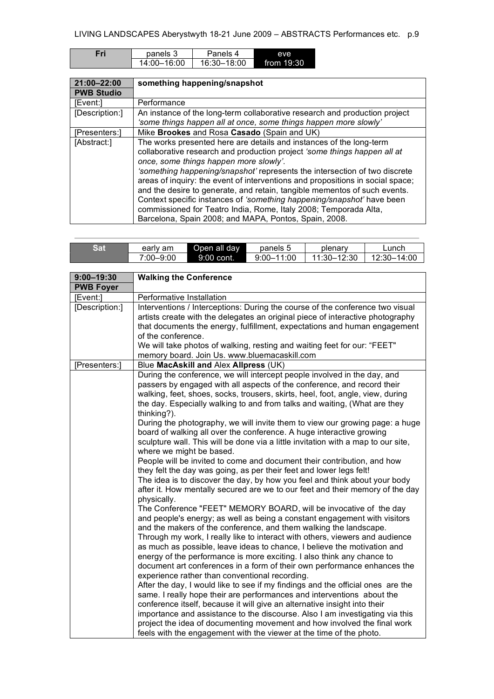| Fri | panels 3    | Panels 4    | eve        |
|-----|-------------|-------------|------------|
|     | 14:00-16:00 | 16:30-18:00 | from 19:30 |
|     |             |             |            |

| 21:00-22:00       | something happening/snapshot                                                                                                                                                                                                                                                                                                                                                                                                                                                                                                                                                                                                                  |
|-------------------|-----------------------------------------------------------------------------------------------------------------------------------------------------------------------------------------------------------------------------------------------------------------------------------------------------------------------------------------------------------------------------------------------------------------------------------------------------------------------------------------------------------------------------------------------------------------------------------------------------------------------------------------------|
| <b>PWB Studio</b> |                                                                                                                                                                                                                                                                                                                                                                                                                                                                                                                                                                                                                                               |
| [Event:1          | Performance                                                                                                                                                                                                                                                                                                                                                                                                                                                                                                                                                                                                                                   |
| [Description:]    | An instance of the long-term collaborative research and production project                                                                                                                                                                                                                                                                                                                                                                                                                                                                                                                                                                    |
|                   | 'some things happen all at once, some things happen more slowly'                                                                                                                                                                                                                                                                                                                                                                                                                                                                                                                                                                              |
| [Presenters:]     | Mike Brookes and Rosa Casado (Spain and UK)                                                                                                                                                                                                                                                                                                                                                                                                                                                                                                                                                                                                   |
| [Abstract:]       | The works presented here are details and instances of the long-term<br>collaborative research and production project 'some things happen all at<br>once, some things happen more slowly'.<br>'something happening/snapshot' represents the intersection of two discrete<br>areas of inquiry: the event of interventions and propositions in social space;<br>and the desire to generate, and retain, tangible mementos of such events.<br>Context specific instances of 'something happening/snapshot' have been<br>commissioned for Teatro India, Rome, Italy 2008; Temporada Alta,<br>Barcelona, Spain 2008; and MAPA, Pontos, Spain, 2008. |

| Sat | early am  | Open all dav | panels 5       | plenary     | Lunch       |
|-----|-----------|--------------|----------------|-------------|-------------|
|     | 7:00–9:00 | $9:00$ cont. | $9:00 - 11:00$ | 11:30-12:30 | 12:30-14:00 |

| $9:00 - 19:30$   | <b>Walking the Conference</b>                                                                                                                                                                                                                                                                                                                                                                                                                                                                                                                                                           |
|------------------|-----------------------------------------------------------------------------------------------------------------------------------------------------------------------------------------------------------------------------------------------------------------------------------------------------------------------------------------------------------------------------------------------------------------------------------------------------------------------------------------------------------------------------------------------------------------------------------------|
| <b>PWB Foyer</b> |                                                                                                                                                                                                                                                                                                                                                                                                                                                                                                                                                                                         |
| [Event:]         | Performative Installation                                                                                                                                                                                                                                                                                                                                                                                                                                                                                                                                                               |
| [Description:]   | Interventions / Interceptions: During the course of the conference two visual<br>artists create with the delegates an original piece of interactive photography<br>that documents the energy, fulfillment, expectations and human engagement<br>of the conference.<br>We will take photos of walking, resting and waiting feet for our: "FEET"<br>memory board. Join Us. www.bluemacaskill.com                                                                                                                                                                                          |
| [Presenters:]    | Blue MacAskill and Alex Allpress (UK)                                                                                                                                                                                                                                                                                                                                                                                                                                                                                                                                                   |
|                  | During the conference, we will intercept people involved in the day, and<br>passers by engaged with all aspects of the conference, and record their<br>walking, feet, shoes, socks, trousers, skirts, heel, foot, angle, view, during<br>the day. Especially walking to and from talks and waiting, (What are they<br>thinking?).<br>During the photography, we will invite them to view our growing page: a huge                                                                                                                                                                       |
|                  | board of walking all over the conference. A huge interactive growing<br>sculpture wall. This will be done via a little invitation with a map to our site,<br>where we might be based.                                                                                                                                                                                                                                                                                                                                                                                                   |
|                  | People will be invited to come and document their contribution, and how<br>they felt the day was going, as per their feet and lower legs felt!<br>The idea is to discover the day, by how you feel and think about your body<br>after it. How mentally secured are we to our feet and their memory of the day<br>physically.                                                                                                                                                                                                                                                            |
|                  | The Conference "FEET" MEMORY BOARD, will be invocative of the day<br>and people's energy; as well as being a constant engagement with visitors<br>and the makers of the conference, and them walking the landscape.<br>Through my work, I really like to interact with others, viewers and audience<br>as much as possible, leave ideas to chance, I believe the motivation and<br>energy of the performance is more exciting. I also think any chance to<br>document art conferences in a form of their own performance enhances the<br>experience rather than conventional recording. |
|                  | After the day, I would like to see if my findings and the official ones are the<br>same. I really hope their are performances and interventions about the<br>conference itself, because it will give an alternative insight into their<br>importance and assistance to the discourse. Also I am investigating via this<br>project the idea of documenting movement and how involved the final work<br>feels with the engagement with the viewer at the time of the photo.                                                                                                               |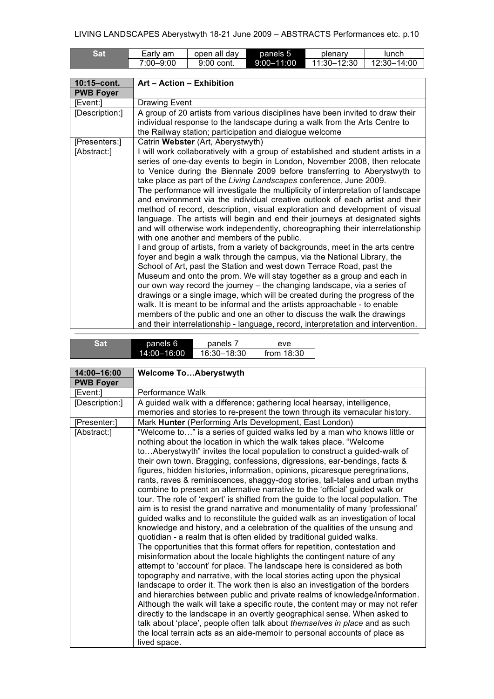| Sat | am<br>⊨arlv     | open all dav | panels 5   | plenary                  | lunch                   |
|-----|-----------------|--------------|------------|--------------------------|-------------------------|
|     | -9:00<br>7:00–J | 9:00 cont.   | 9:00-11:00 | $-12:30$<br>$11:30 - 1.$ | $-14:00$<br>$12:30 - 1$ |

 $\overline{\phantom{a}}$ 

| 10:15-cont.      | Art - Action - Exhibition                                                                                                                                                                                                                                                                                                                                                                                                                                                                                                                                                                                                                                                                                                                                                                                                                                                                                                                                                                                                                                                                                                                                                                                                                                                                                                                                                                                                                                                                                  |
|------------------|------------------------------------------------------------------------------------------------------------------------------------------------------------------------------------------------------------------------------------------------------------------------------------------------------------------------------------------------------------------------------------------------------------------------------------------------------------------------------------------------------------------------------------------------------------------------------------------------------------------------------------------------------------------------------------------------------------------------------------------------------------------------------------------------------------------------------------------------------------------------------------------------------------------------------------------------------------------------------------------------------------------------------------------------------------------------------------------------------------------------------------------------------------------------------------------------------------------------------------------------------------------------------------------------------------------------------------------------------------------------------------------------------------------------------------------------------------------------------------------------------------|
| <b>PWB Foyer</b> |                                                                                                                                                                                                                                                                                                                                                                                                                                                                                                                                                                                                                                                                                                                                                                                                                                                                                                                                                                                                                                                                                                                                                                                                                                                                                                                                                                                                                                                                                                            |
| [Event:]         | Drawing Event                                                                                                                                                                                                                                                                                                                                                                                                                                                                                                                                                                                                                                                                                                                                                                                                                                                                                                                                                                                                                                                                                                                                                                                                                                                                                                                                                                                                                                                                                              |
| [Description:]   | A group of 20 artists from various disciplines have been invited to draw their<br>individual response to the landscape during a walk from the Arts Centre to<br>the Railway station; participation and dialogue welcome                                                                                                                                                                                                                                                                                                                                                                                                                                                                                                                                                                                                                                                                                                                                                                                                                                                                                                                                                                                                                                                                                                                                                                                                                                                                                    |
| [Presenters:]    | Catrin Webster (Art, Aberystwyth)                                                                                                                                                                                                                                                                                                                                                                                                                                                                                                                                                                                                                                                                                                                                                                                                                                                                                                                                                                                                                                                                                                                                                                                                                                                                                                                                                                                                                                                                          |
| [Abstract:]      | I will work collaboratively with a group of established and student artists in a<br>series of one-day events to begin in London, November 2008, then relocate<br>to Venice during the Biennale 2009 before transferring to Aberystwyth to<br>take place as part of the Living Landscapes conference, June 2009.<br>The performance will investigate the multiplicity of interpretation of landscape<br>and environment via the individual creative outlook of each artist and their<br>method of record, description, visual exploration and development of visual<br>language. The artists will begin and end their journeys at designated sights<br>and will otherwise work independently, choreographing their interrelationship<br>with one another and members of the public.<br>I and group of artists, from a variety of backgrounds, meet in the arts centre<br>foyer and begin a walk through the campus, via the National Library, the<br>School of Art, past the Station and west down Terrace Road, past the<br>Museum and onto the prom. We will stay together as a group and each in<br>our own way record the journey – the changing landscape, via a series of<br>drawings or a single image, which will be created during the progress of the<br>walk. It is meant to be informal and the artists approachable - to enable<br>members of the public and one an other to discuss the walk the drawings<br>and their interrelationship - language, record, interpretation and intervention. |

| รศ | panels 6    | panels      | eve          |
|----|-------------|-------------|--------------|
|    | 14:00-16:00 | 16:30-18:30 | from $18:30$ |

| <b>Welcome ToAberystwyth</b>                                                                                                                           |
|--------------------------------------------------------------------------------------------------------------------------------------------------------|
|                                                                                                                                                        |
| Performance Walk                                                                                                                                       |
| A guided walk with a difference; gathering local hearsay, intelligence,                                                                                |
| memories and stories to re-present the town through its vernacular history.                                                                            |
| Mark Hunter (Performing Arts Development, East London)                                                                                                 |
| "Welcome to" is a series of guided walks led by a man who knows little or                                                                              |
| nothing about the location in which the walk takes place. "Welcome                                                                                     |
| toAberystwyth" invites the local population to construct a guided-walk of<br>their own town. Bragging, confessions, digressions, ear-bendings, facts & |
| figures, hidden histories, information, opinions, picaresque peregrinations,                                                                           |
| rants, raves & reminiscences, shaggy-dog stories, tall-tales and urban myths                                                                           |
| combine to present an alternative narrative to the 'official' guided walk or                                                                           |
| tour. The role of 'expert' is shifted from the guide to the local population. The                                                                      |
| aim is to resist the grand narrative and monumentality of many 'professional'                                                                          |
| guided walks and to reconstitute the guided walk as an investigation of local                                                                          |
| knowledge and history, and a celebration of the qualities of the unsung and<br>quotidian - a realm that is often elided by traditional guided walks.   |
| The opportunities that this format offers for repetition, contestation and                                                                             |
| misinformation about the locale highlights the contingent nature of any                                                                                |
| attempt to 'account' for place. The landscape here is considered as both                                                                               |
| topography and narrative, with the local stories acting upon the physical                                                                              |
| landscape to order it. The work then is also an investigation of the borders                                                                           |
| and hierarchies between public and private realms of knowledge/information.                                                                            |
| Although the walk will take a specific route, the content may or may not refer                                                                         |
| directly to the landscape in an overtly geographical sense. When asked to                                                                              |
| talk about 'place', people often talk about themselves in place and as such                                                                            |
| the local terrain acts as an aide-memoir to personal accounts of place as<br>lived space.                                                              |
|                                                                                                                                                        |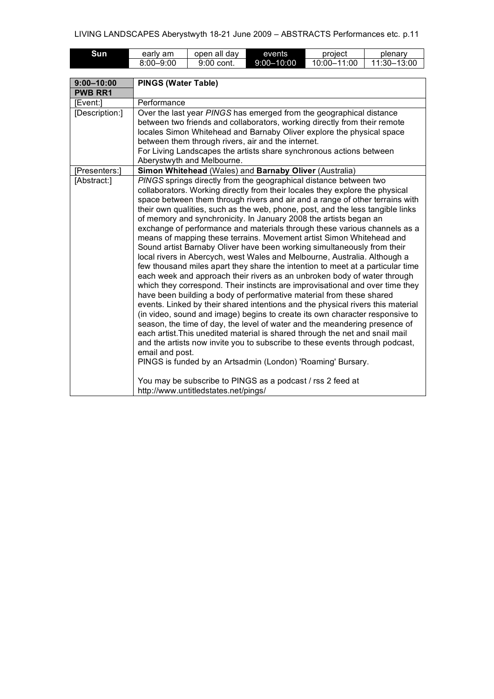| Sun            | early am                                                                                                                                                                                                                                                                                                                                                                                            | open all day                         | events                                                                          | project     | plenary     |
|----------------|-----------------------------------------------------------------------------------------------------------------------------------------------------------------------------------------------------------------------------------------------------------------------------------------------------------------------------------------------------------------------------------------------------|--------------------------------------|---------------------------------------------------------------------------------|-------------|-------------|
|                | 8:00-9:00                                                                                                                                                                                                                                                                                                                                                                                           | 9:00 cont.                           | $9:00 - 10:00$                                                                  | 10:00-11:00 | 11:30-13:00 |
|                |                                                                                                                                                                                                                                                                                                                                                                                                     |                                      |                                                                                 |             |             |
| $9:00 - 10:00$ | <b>PINGS (Water Table)</b>                                                                                                                                                                                                                                                                                                                                                                          |                                      |                                                                                 |             |             |
| <b>PWB RR1</b> |                                                                                                                                                                                                                                                                                                                                                                                                     |                                      |                                                                                 |             |             |
| [Event:]       | Performance                                                                                                                                                                                                                                                                                                                                                                                         |                                      |                                                                                 |             |             |
| [Description:] |                                                                                                                                                                                                                                                                                                                                                                                                     |                                      | Over the last year PINGS has emerged from the geographical distance             |             |             |
|                |                                                                                                                                                                                                                                                                                                                                                                                                     |                                      | between two friends and collaborators, working directly from their remote       |             |             |
|                |                                                                                                                                                                                                                                                                                                                                                                                                     |                                      | locales Simon Whitehead and Barnaby Oliver explore the physical space           |             |             |
|                |                                                                                                                                                                                                                                                                                                                                                                                                     |                                      | between them through rivers, air and the internet.                              |             |             |
|                |                                                                                                                                                                                                                                                                                                                                                                                                     |                                      | For Living Landscapes the artists share synchronous actions between             |             |             |
|                |                                                                                                                                                                                                                                                                                                                                                                                                     | Aberystwyth and Melbourne.           |                                                                                 |             |             |
| [Presenters:]  |                                                                                                                                                                                                                                                                                                                                                                                                     |                                      | Simon Whitehead (Wales) and Barnaby Oliver (Australia)                          |             |             |
| [Abstract:]    |                                                                                                                                                                                                                                                                                                                                                                                                     |                                      | PINGS springs directly from the geographical distance between two               |             |             |
|                |                                                                                                                                                                                                                                                                                                                                                                                                     |                                      | collaborators. Working directly from their locales they explore the physical    |             |             |
|                |                                                                                                                                                                                                                                                                                                                                                                                                     |                                      | space between them through rivers and air and a range of other terrains with    |             |             |
|                | their own qualities, such as the web, phone, post, and the less tangible links                                                                                                                                                                                                                                                                                                                      |                                      |                                                                                 |             |             |
|                |                                                                                                                                                                                                                                                                                                                                                                                                     |                                      | of memory and synchronicity. In January 2008 the artists began an               |             |             |
|                | exchange of performance and materials through these various channels as a                                                                                                                                                                                                                                                                                                                           |                                      |                                                                                 |             |             |
|                | means of mapping these terrains. Movement artist Simon Whitehead and                                                                                                                                                                                                                                                                                                                                |                                      |                                                                                 |             |             |
|                | Sound artist Barnaby Oliver have been working simultaneously from their<br>local rivers in Abercych, west Wales and Melbourne, Australia. Although a<br>few thousand miles apart they share the intention to meet at a particular time<br>each week and approach their rivers as an unbroken body of water through<br>which they correspond. Their instincts are improvisational and over time they |                                      |                                                                                 |             |             |
|                |                                                                                                                                                                                                                                                                                                                                                                                                     |                                      |                                                                                 |             |             |
|                |                                                                                                                                                                                                                                                                                                                                                                                                     |                                      |                                                                                 |             |             |
|                |                                                                                                                                                                                                                                                                                                                                                                                                     |                                      |                                                                                 |             |             |
|                |                                                                                                                                                                                                                                                                                                                                                                                                     |                                      |                                                                                 |             |             |
|                |                                                                                                                                                                                                                                                                                                                                                                                                     |                                      | have been building a body of performative material from these shared            |             |             |
|                |                                                                                                                                                                                                                                                                                                                                                                                                     |                                      | events. Linked by their shared intentions and the physical rivers this material |             |             |
|                |                                                                                                                                                                                                                                                                                                                                                                                                     |                                      | (in video, sound and image) begins to create its own character responsive to    |             |             |
|                |                                                                                                                                                                                                                                                                                                                                                                                                     |                                      | season, the time of day, the level of water and the meandering presence of      |             |             |
|                |                                                                                                                                                                                                                                                                                                                                                                                                     |                                      | each artist. This unedited material is shared through the net and snail mail    |             |             |
|                |                                                                                                                                                                                                                                                                                                                                                                                                     |                                      | and the artists now invite you to subscribe to these events through podcast,    |             |             |
|                | email and post.                                                                                                                                                                                                                                                                                                                                                                                     |                                      |                                                                                 |             |             |
|                |                                                                                                                                                                                                                                                                                                                                                                                                     |                                      | PINGS is funded by an Artsadmin (London) 'Roaming' Bursary.                     |             |             |
|                |                                                                                                                                                                                                                                                                                                                                                                                                     |                                      | You may be subscribe to PINGS as a podcast / rss 2 feed at                      |             |             |
|                |                                                                                                                                                                                                                                                                                                                                                                                                     | http://www.untitledstates.net/pings/ |                                                                                 |             |             |
|                |                                                                                                                                                                                                                                                                                                                                                                                                     |                                      |                                                                                 |             |             |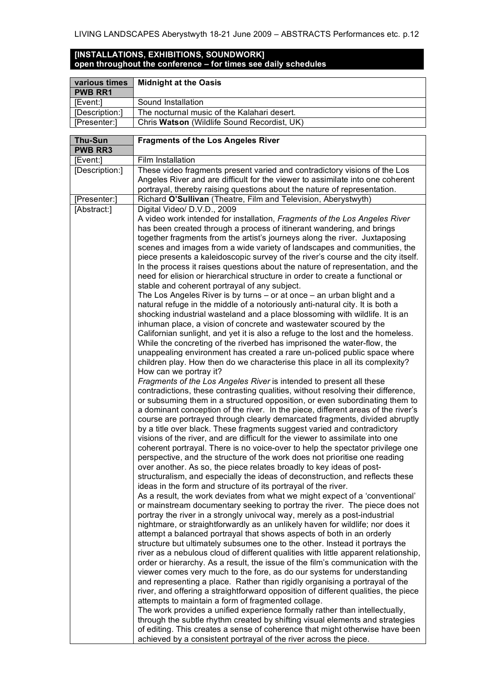## **[INSTALLATIONS, EXHIBITIONS, SOUNDWORK] open throughout the conference – for times see daily schedules**

| various times  | <b>Midnight at the Oasis</b>                |
|----------------|---------------------------------------------|
| <b>PWB RR1</b> |                                             |
| [Event:]       | Sound Installation                          |
| [Description:] | The nocturnal music of the Kalahari desert. |
| [Presenter:]   | Chris Watson (Wildlife Sound Recordist, UK) |

| <b>Thu-Sun</b>              | <b>Fragments of the Los Angeles River</b>                                                                                                                                                                                                                                                                                                                                                                                                                                                                                                                                                                                                                                                                                                                                                                                                                                                                                                                                                                                                                                                                                                                                                                                                                                                                                                                                                                                                                                                                                                                                                                                                                                                                                                                                                                                                                                                                                                                                                                                                                                                                                                                                                                                                                                                                                                                                                                                                                                                                                                                                                                                                                                                                                                                                                                                                                                                                                                                                                                                                                                                                                                                                                                                                                                                                                                                                                                                 |  |  |  |  |  |
|-----------------------------|---------------------------------------------------------------------------------------------------------------------------------------------------------------------------------------------------------------------------------------------------------------------------------------------------------------------------------------------------------------------------------------------------------------------------------------------------------------------------------------------------------------------------------------------------------------------------------------------------------------------------------------------------------------------------------------------------------------------------------------------------------------------------------------------------------------------------------------------------------------------------------------------------------------------------------------------------------------------------------------------------------------------------------------------------------------------------------------------------------------------------------------------------------------------------------------------------------------------------------------------------------------------------------------------------------------------------------------------------------------------------------------------------------------------------------------------------------------------------------------------------------------------------------------------------------------------------------------------------------------------------------------------------------------------------------------------------------------------------------------------------------------------------------------------------------------------------------------------------------------------------------------------------------------------------------------------------------------------------------------------------------------------------------------------------------------------------------------------------------------------------------------------------------------------------------------------------------------------------------------------------------------------------------------------------------------------------------------------------------------------------------------------------------------------------------------------------------------------------------------------------------------------------------------------------------------------------------------------------------------------------------------------------------------------------------------------------------------------------------------------------------------------------------------------------------------------------------------------------------------------------------------------------------------------------------------------------------------------------------------------------------------------------------------------------------------------------------------------------------------------------------------------------------------------------------------------------------------------------------------------------------------------------------------------------------------------------------------------------------------------------------------------------------------------------|--|--|--|--|--|
| <b>PWB RR3</b>              |                                                                                                                                                                                                                                                                                                                                                                                                                                                                                                                                                                                                                                                                                                                                                                                                                                                                                                                                                                                                                                                                                                                                                                                                                                                                                                                                                                                                                                                                                                                                                                                                                                                                                                                                                                                                                                                                                                                                                                                                                                                                                                                                                                                                                                                                                                                                                                                                                                                                                                                                                                                                                                                                                                                                                                                                                                                                                                                                                                                                                                                                                                                                                                                                                                                                                                                                                                                                                           |  |  |  |  |  |
| [Event:]                    | Film Installation                                                                                                                                                                                                                                                                                                                                                                                                                                                                                                                                                                                                                                                                                                                                                                                                                                                                                                                                                                                                                                                                                                                                                                                                                                                                                                                                                                                                                                                                                                                                                                                                                                                                                                                                                                                                                                                                                                                                                                                                                                                                                                                                                                                                                                                                                                                                                                                                                                                                                                                                                                                                                                                                                                                                                                                                                                                                                                                                                                                                                                                                                                                                                                                                                                                                                                                                                                                                         |  |  |  |  |  |
| [Description:]              | These video fragments present varied and contradictory visions of the Los<br>portrayal, thereby raising questions about the nature of representation.                                                                                                                                                                                                                                                                                                                                                                                                                                                                                                                                                                                                                                                                                                                                                                                                                                                                                                                                                                                                                                                                                                                                                                                                                                                                                                                                                                                                                                                                                                                                                                                                                                                                                                                                                                                                                                                                                                                                                                                                                                                                                                                                                                                                                                                                                                                                                                                                                                                                                                                                                                                                                                                                                                                                                                                                                                                                                                                                                                                                                                                                                                                                                                                                                                                                     |  |  |  |  |  |
|                             |                                                                                                                                                                                                                                                                                                                                                                                                                                                                                                                                                                                                                                                                                                                                                                                                                                                                                                                                                                                                                                                                                                                                                                                                                                                                                                                                                                                                                                                                                                                                                                                                                                                                                                                                                                                                                                                                                                                                                                                                                                                                                                                                                                                                                                                                                                                                                                                                                                                                                                                                                                                                                                                                                                                                                                                                                                                                                                                                                                                                                                                                                                                                                                                                                                                                                                                                                                                                                           |  |  |  |  |  |
| [Presenter:]<br>[Abstract:] | Angeles River and are difficult for the viewer to assimilate into one coherent<br>Richard O'Sullivan (Theatre, Film and Television, Aberystwyth)<br>Digital Video/ D.V.D., 2009<br>A video work intended for installation, Fragments of the Los Angeles River<br>has been created through a process of itinerant wandering, and brings<br>together fragments from the artist's journeys along the river. Juxtaposing<br>scenes and images from a wide variety of landscapes and communities, the<br>piece presents a kaleidoscopic survey of the river's course and the city itself.<br>In the process it raises questions about the nature of representation, and the<br>need for elision or hierarchical structure in order to create a functional or<br>stable and coherent portrayal of any subject.<br>The Los Angeles River is by turns $-$ or at once $-$ an urban blight and a<br>natural refuge in the middle of a notoriously anti-natural city. It is both a<br>shocking industrial wasteland and a place blossoming with wildlife. It is an<br>inhuman place, a vision of concrete and wastewater scoured by the<br>Californian sunlight, and yet it is also a refuge to the lost and the homeless.<br>While the concreting of the riverbed has imprisoned the water-flow, the<br>unappealing environment has created a rare un-policed public space where<br>children play. How then do we characterise this place in all its complexity?<br>How can we portray it?<br>Fragments of the Los Angeles River is intended to present all these<br>contradictions, these contrasting qualities, without resolving their difference,<br>or subsuming them in a structured opposition, or even subordinating them to<br>a dominant conception of the river. In the piece, different areas of the river's<br>course are portrayed through clearly demarcated fragments, divided abruptly<br>by a title over black. These fragments suggest varied and contradictory<br>visions of the river, and are difficult for the viewer to assimilate into one<br>coherent portrayal. There is no voice-over to help the spectator privilege one<br>perspective, and the structure of the work does not prioritise one reading<br>over another. As so, the piece relates broadly to key ideas of post-<br>structuralism, and especially the ideas of deconstruction, and reflects these<br>ideas in the form and structure of its portrayal of the river.<br>As a result, the work deviates from what we might expect of a 'conventional'<br>or mainstream documentary seeking to portray the river. The piece does not<br>portray the river in a strongly univocal way, merely as a post-industrial<br>nightmare, or straightforwardly as an unlikely haven for wildlife; nor does it<br>attempt a balanced portrayal that shows aspects of both in an orderly<br>structure but ultimately subsumes one to the other. Instead it portrays the<br>river as a nebulous cloud of different qualities with little apparent relationship,<br>order or hierarchy. As a result, the issue of the film's communication with the<br>viewer comes very much to the fore, as do our systems for understanding<br>and representing a place. Rather than rigidly organising a portrayal of the<br>river, and offering a straightforward opposition of different qualities, the piece<br>attempts to maintain a form of fragmented collage. |  |  |  |  |  |
|                             | The work provides a unified experience formally rather than intellectually,<br>through the subtle rhythm created by shifting visual elements and strategies<br>of editing. This creates a sense of coherence that might otherwise have been                                                                                                                                                                                                                                                                                                                                                                                                                                                                                                                                                                                                                                                                                                                                                                                                                                                                                                                                                                                                                                                                                                                                                                                                                                                                                                                                                                                                                                                                                                                                                                                                                                                                                                                                                                                                                                                                                                                                                                                                                                                                                                                                                                                                                                                                                                                                                                                                                                                                                                                                                                                                                                                                                                                                                                                                                                                                                                                                                                                                                                                                                                                                                                               |  |  |  |  |  |
|                             | achieved by a consistent portrayal of the river across the piece.                                                                                                                                                                                                                                                                                                                                                                                                                                                                                                                                                                                                                                                                                                                                                                                                                                                                                                                                                                                                                                                                                                                                                                                                                                                                                                                                                                                                                                                                                                                                                                                                                                                                                                                                                                                                                                                                                                                                                                                                                                                                                                                                                                                                                                                                                                                                                                                                                                                                                                                                                                                                                                                                                                                                                                                                                                                                                                                                                                                                                                                                                                                                                                                                                                                                                                                                                         |  |  |  |  |  |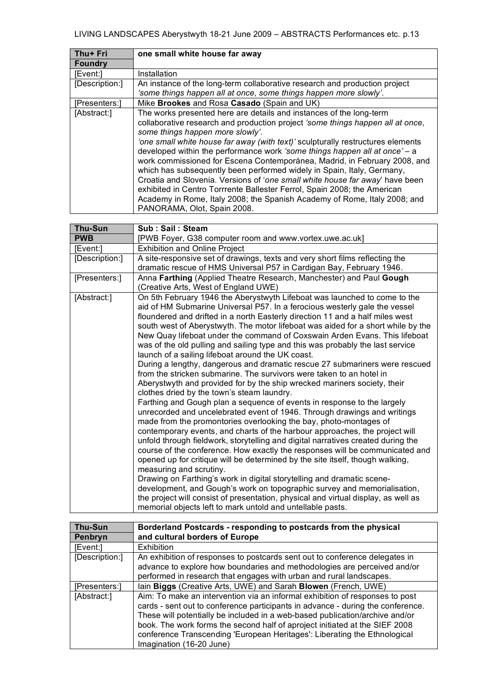| Thu+ Fri                                                                        | one small white house far away                                                 |  |  |  |  |  |  |
|---------------------------------------------------------------------------------|--------------------------------------------------------------------------------|--|--|--|--|--|--|
| <b>Foundry</b>                                                                  |                                                                                |  |  |  |  |  |  |
| [Event:]                                                                        | Installation                                                                   |  |  |  |  |  |  |
| [Description:]                                                                  | An instance of the long-term collaborative research and production project     |  |  |  |  |  |  |
|                                                                                 | 'some things happen all at once, some things happen more slowly'.              |  |  |  |  |  |  |
| [Presenters:]                                                                   | Mike Brookes and Rosa Casado (Spain and UK)                                    |  |  |  |  |  |  |
| [Abstract:]                                                                     | The works presented here are details and instances of the long-term            |  |  |  |  |  |  |
|                                                                                 | collaborative research and production project 'some things happen all at once, |  |  |  |  |  |  |
|                                                                                 | some things happen more slowly'.                                               |  |  |  |  |  |  |
| 'one small white house far away (with text)' sculpturally restructures elements |                                                                                |  |  |  |  |  |  |
|                                                                                 | developed within the performance work 'some things happen all at once' - a     |  |  |  |  |  |  |
|                                                                                 | work commissioned for Escena Contemporánea, Madrid, in February 2008, and      |  |  |  |  |  |  |
|                                                                                 | which has subsequently been performed widely in Spain, Italy, Germany,         |  |  |  |  |  |  |
|                                                                                 | Croatia and Slovenia. Versions of 'one small white house far away' have been   |  |  |  |  |  |  |
|                                                                                 | exhibited in Centro Torrrente Ballester Ferrol, Spain 2008; the American       |  |  |  |  |  |  |
|                                                                                 | Academy in Rome, Italy 2008; the Spanish Academy of Rome, Italy 2008; and      |  |  |  |  |  |  |
|                                                                                 | PANORAMA, Olot, Spain 2008.                                                    |  |  |  |  |  |  |

| <b>Thu-Sun</b> | Sub: Sail: Steam                                                                                                                                                                                                                                                                                                                                                                                                                                                                                                                                                                                                                                                                                                                                                                                                                                                                                                                                                                                                                                                                                                                                                                                                                                                                                                                                                                                                                                                                                                                                                                                                                                                                                                                        |  |  |  |  |  |
|----------------|-----------------------------------------------------------------------------------------------------------------------------------------------------------------------------------------------------------------------------------------------------------------------------------------------------------------------------------------------------------------------------------------------------------------------------------------------------------------------------------------------------------------------------------------------------------------------------------------------------------------------------------------------------------------------------------------------------------------------------------------------------------------------------------------------------------------------------------------------------------------------------------------------------------------------------------------------------------------------------------------------------------------------------------------------------------------------------------------------------------------------------------------------------------------------------------------------------------------------------------------------------------------------------------------------------------------------------------------------------------------------------------------------------------------------------------------------------------------------------------------------------------------------------------------------------------------------------------------------------------------------------------------------------------------------------------------------------------------------------------------|--|--|--|--|--|
| <b>PWB</b>     | [PWB Foyer, G38 computer room and www.vortex.uwe.ac.uk]                                                                                                                                                                                                                                                                                                                                                                                                                                                                                                                                                                                                                                                                                                                                                                                                                                                                                                                                                                                                                                                                                                                                                                                                                                                                                                                                                                                                                                                                                                                                                                                                                                                                                 |  |  |  |  |  |
| [Event:]       | <b>Exhibition and Online Project</b>                                                                                                                                                                                                                                                                                                                                                                                                                                                                                                                                                                                                                                                                                                                                                                                                                                                                                                                                                                                                                                                                                                                                                                                                                                                                                                                                                                                                                                                                                                                                                                                                                                                                                                    |  |  |  |  |  |
| [Description:] | A site-responsive set of drawings, texts and very short films reflecting the<br>dramatic rescue of HMS Universal P57 in Cardigan Bay, February 1946.                                                                                                                                                                                                                                                                                                                                                                                                                                                                                                                                                                                                                                                                                                                                                                                                                                                                                                                                                                                                                                                                                                                                                                                                                                                                                                                                                                                                                                                                                                                                                                                    |  |  |  |  |  |
| [Presenters:]  | Anna Farthing (Applied Theatre Research, Manchester) and Paul Gough<br>(Creative Arts, West of England UWE)                                                                                                                                                                                                                                                                                                                                                                                                                                                                                                                                                                                                                                                                                                                                                                                                                                                                                                                                                                                                                                                                                                                                                                                                                                                                                                                                                                                                                                                                                                                                                                                                                             |  |  |  |  |  |
| [Abstract:]    | On 5th February 1946 the Aberystwyth Lifeboat was launched to come to the<br>aid of HM Submarine Universal P57. In a ferocious westerly gale the vessel<br>floundered and drifted in a north Easterly direction 11 and a half miles west<br>south west of Aberystwyth. The motor lifeboat was aided for a short while by the<br>New Quay lifeboat under the command of Coxswain Arden Evans. This lifeboat<br>was of the old pulling and sailing type and this was probably the last service<br>launch of a sailing lifeboat around the UK coast.<br>During a lengthy, dangerous and dramatic rescue 27 submariners were rescued<br>from the stricken submarine. The survivors were taken to an hotel in<br>Aberystwyth and provided for by the ship wrecked mariners society, their<br>clothes dried by the town's steam laundry.<br>Farthing and Gough plan a sequence of events in response to the largely<br>unrecorded and uncelebrated event of 1946. Through drawings and writings<br>made from the promontories overlooking the bay, photo-montages of<br>contemporary events, and charts of the harbour approaches, the project will<br>unfold through fieldwork, storytelling and digital narratives created during the<br>course of the conference. How exactly the responses will be communicated and<br>opened up for critique will be determined by the site itself, though walking,<br>measuring and scrutiny.<br>Drawing on Farthing's work in digital storytelling and dramatic scene-<br>development, and Gough's work on topographic survey and memorialisation,<br>the project will consist of presentation, physical and virtual display, as well as<br>memorial objects left to mark untold and untellable pasts. |  |  |  |  |  |

| <b>Thu-Sun</b>                                                                  | Borderland Postcards - responding to postcards from the physical             |  |  |  |  |
|---------------------------------------------------------------------------------|------------------------------------------------------------------------------|--|--|--|--|
| Penbryn                                                                         | and cultural borders of Europe                                               |  |  |  |  |
| [Event:]                                                                        | Exhibition                                                                   |  |  |  |  |
| [Description:]                                                                  | An exhibition of responses to postcards sent out to conference delegates in  |  |  |  |  |
|                                                                                 | advance to explore how boundaries and methodologies are perceived and/or     |  |  |  |  |
|                                                                                 | performed in research that engages with urban and rural landscapes.          |  |  |  |  |
| [Presenters:]                                                                   | lain Biggs (Creative Arts, UWE) and Sarah Blowen (French, UWE)               |  |  |  |  |
| [Abstract:]                                                                     | Aim: To make an intervention via an informal exhibition of responses to post |  |  |  |  |
| cards - sent out to conference participants in advance - during the conference. |                                                                              |  |  |  |  |
| These will potentially be included in a web-based publication/archive and/or    |                                                                              |  |  |  |  |
|                                                                                 | book. The work forms the second half of aproject initiated at the SIEF 2008  |  |  |  |  |
|                                                                                 | conference Transcending 'European Heritages': Liberating the Ethnological    |  |  |  |  |
|                                                                                 | Imagination (16-20 June)                                                     |  |  |  |  |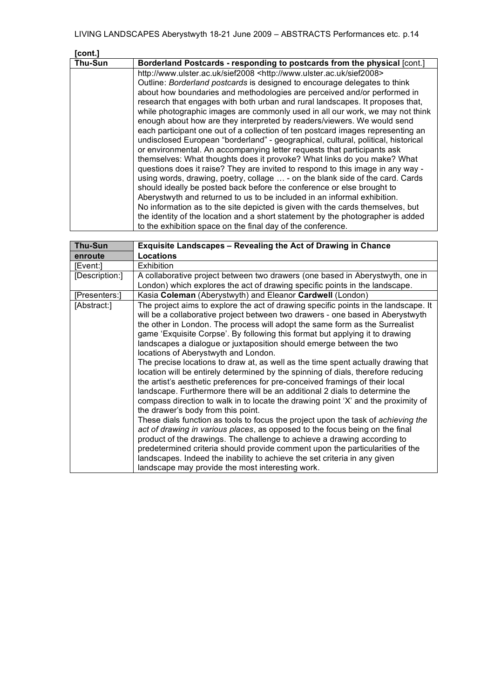| icont.] |                                                                                   |  |  |  |  |  |  |
|---------|-----------------------------------------------------------------------------------|--|--|--|--|--|--|
| Thu-Sun | Borderland Postcards - responding to postcards from the physical [cont.]          |  |  |  |  |  |  |
|         | http://www.ulster.ac.uk/sief2008 <http: sief2008="" www.ulster.ac.uk=""></http:>  |  |  |  |  |  |  |
|         | Outline: Borderland postcards is designed to encourage delegates to think         |  |  |  |  |  |  |
|         | about how boundaries and methodologies are perceived and/or performed in          |  |  |  |  |  |  |
|         | research that engages with both urban and rural landscapes. It proposes that,     |  |  |  |  |  |  |
|         | while photographic images are commonly used in all our work, we may not think     |  |  |  |  |  |  |
|         | enough about how are they interpreted by readers/viewers. We would send           |  |  |  |  |  |  |
|         | each participant one out of a collection of ten postcard images representing an   |  |  |  |  |  |  |
|         | undisclosed European "borderland" - geographical, cultural, political, historical |  |  |  |  |  |  |
|         | or environmental. An accompanying letter requests that participants ask           |  |  |  |  |  |  |
|         | themselves: What thoughts does it provoke? What links do you make? What           |  |  |  |  |  |  |
|         | questions does it raise? They are invited to respond to this image in any way -   |  |  |  |  |  |  |
|         | using words, drawing, poetry, collage  - on the blank side of the card. Cards     |  |  |  |  |  |  |
|         | should ideally be posted back before the conference or else brought to            |  |  |  |  |  |  |
|         | Aberystwyth and returned to us to be included in an informal exhibition.          |  |  |  |  |  |  |
|         | No information as to the site depicted is given with the cards themselves, but    |  |  |  |  |  |  |
|         | the identity of the location and a short statement by the photographer is added   |  |  |  |  |  |  |
|         | to the exhibition space on the final day of the conference.                       |  |  |  |  |  |  |

| <b>Thu-Sun</b> | <b>Exquisite Landscapes - Revealing the Act of Drawing in Chance</b>                                                                                                                                                                                                                                                                                                                                                                                                                                                                                                                                                                                                                                                                                                                                                                                                                                                                                                                                                                                                                                                                                                                                                                                                                                                                                                                        |  |  |  |  |  |
|----------------|---------------------------------------------------------------------------------------------------------------------------------------------------------------------------------------------------------------------------------------------------------------------------------------------------------------------------------------------------------------------------------------------------------------------------------------------------------------------------------------------------------------------------------------------------------------------------------------------------------------------------------------------------------------------------------------------------------------------------------------------------------------------------------------------------------------------------------------------------------------------------------------------------------------------------------------------------------------------------------------------------------------------------------------------------------------------------------------------------------------------------------------------------------------------------------------------------------------------------------------------------------------------------------------------------------------------------------------------------------------------------------------------|--|--|--|--|--|
| enroute        | <b>Locations</b>                                                                                                                                                                                                                                                                                                                                                                                                                                                                                                                                                                                                                                                                                                                                                                                                                                                                                                                                                                                                                                                                                                                                                                                                                                                                                                                                                                            |  |  |  |  |  |
| [Event:]       | <b>Exhibition</b>                                                                                                                                                                                                                                                                                                                                                                                                                                                                                                                                                                                                                                                                                                                                                                                                                                                                                                                                                                                                                                                                                                                                                                                                                                                                                                                                                                           |  |  |  |  |  |
| [Description:] | A collaborative project between two drawers (one based in Aberystwyth, one in                                                                                                                                                                                                                                                                                                                                                                                                                                                                                                                                                                                                                                                                                                                                                                                                                                                                                                                                                                                                                                                                                                                                                                                                                                                                                                               |  |  |  |  |  |
|                | London) which explores the act of drawing specific points in the landscape.                                                                                                                                                                                                                                                                                                                                                                                                                                                                                                                                                                                                                                                                                                                                                                                                                                                                                                                                                                                                                                                                                                                                                                                                                                                                                                                 |  |  |  |  |  |
| [Presenters:]  | Kasia Coleman (Aberystwyth) and Eleanor Cardwell (London)                                                                                                                                                                                                                                                                                                                                                                                                                                                                                                                                                                                                                                                                                                                                                                                                                                                                                                                                                                                                                                                                                                                                                                                                                                                                                                                                   |  |  |  |  |  |
| [Abstract:]    | The project aims to explore the act of drawing specific points in the landscape. It<br>will be a collaborative project between two drawers - one based in Aberystwyth<br>the other in London. The process will adopt the same form as the Surrealist<br>game 'Exquisite Corpse'. By following this format but applying it to drawing<br>landscapes a dialogue or juxtaposition should emerge between the two<br>locations of Aberystwyth and London.<br>The precise locations to draw at, as well as the time spent actually drawing that<br>location will be entirely determined by the spinning of dials, therefore reducing<br>the artist's aesthetic preferences for pre-conceived framings of their local<br>landscape. Furthermore there will be an additional 2 dials to determine the<br>compass direction to walk in to locate the drawing point 'X' and the proximity of<br>the drawer's body from this point.<br>These dials function as tools to focus the project upon the task of achieving the<br>act of drawing in various places, as opposed to the focus being on the final<br>product of the drawings. The challenge to achieve a drawing according to<br>predetermined criteria should provide comment upon the particularities of the<br>landscapes. Indeed the inability to achieve the set criteria in any given<br>landscape may provide the most interesting work. |  |  |  |  |  |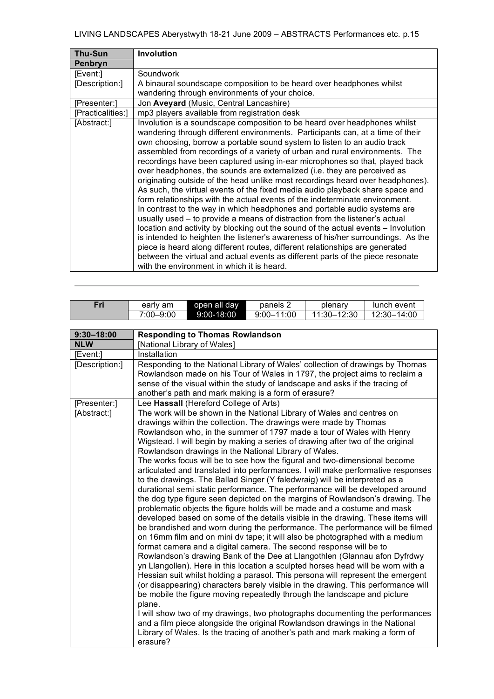| Thu-Sun           | <b>Involution</b>                                                                                                                                                                                                                                                                                                                                                                                                                                                                                                                                                                                                                                                                                                                                                                                                                                                                                                                                                                                                                                                                                                                                                                                                                                                                        |  |  |  |  |  |
|-------------------|------------------------------------------------------------------------------------------------------------------------------------------------------------------------------------------------------------------------------------------------------------------------------------------------------------------------------------------------------------------------------------------------------------------------------------------------------------------------------------------------------------------------------------------------------------------------------------------------------------------------------------------------------------------------------------------------------------------------------------------------------------------------------------------------------------------------------------------------------------------------------------------------------------------------------------------------------------------------------------------------------------------------------------------------------------------------------------------------------------------------------------------------------------------------------------------------------------------------------------------------------------------------------------------|--|--|--|--|--|
| Penbryn           |                                                                                                                                                                                                                                                                                                                                                                                                                                                                                                                                                                                                                                                                                                                                                                                                                                                                                                                                                                                                                                                                                                                                                                                                                                                                                          |  |  |  |  |  |
| [Event:]          | Soundwork                                                                                                                                                                                                                                                                                                                                                                                                                                                                                                                                                                                                                                                                                                                                                                                                                                                                                                                                                                                                                                                                                                                                                                                                                                                                                |  |  |  |  |  |
| [Description:]    | A binaural soundscape composition to be heard over headphones whilst                                                                                                                                                                                                                                                                                                                                                                                                                                                                                                                                                                                                                                                                                                                                                                                                                                                                                                                                                                                                                                                                                                                                                                                                                     |  |  |  |  |  |
|                   | wandering through environments of your choice.                                                                                                                                                                                                                                                                                                                                                                                                                                                                                                                                                                                                                                                                                                                                                                                                                                                                                                                                                                                                                                                                                                                                                                                                                                           |  |  |  |  |  |
| [Presenter:]      | Jon Aveyard (Music, Central Lancashire)                                                                                                                                                                                                                                                                                                                                                                                                                                                                                                                                                                                                                                                                                                                                                                                                                                                                                                                                                                                                                                                                                                                                                                                                                                                  |  |  |  |  |  |
| [Practicalities:] | mp3 players available from registration desk                                                                                                                                                                                                                                                                                                                                                                                                                                                                                                                                                                                                                                                                                                                                                                                                                                                                                                                                                                                                                                                                                                                                                                                                                                             |  |  |  |  |  |
| [Abstract:]       | Involution is a soundscape composition to be heard over headphones whilst<br>wandering through different environments. Participants can, at a time of their<br>own choosing, borrow a portable sound system to listen to an audio track<br>assembled from recordings of a variety of urban and rural environments. The<br>recordings have been captured using in-ear microphones so that, played back<br>over headphones, the sounds are externalized (i.e. they are perceived as<br>originating outside of the head unlike most recordings heard over headphones).<br>As such, the virtual events of the fixed media audio playback share space and<br>form relationships with the actual events of the indeterminate environment.<br>In contrast to the way in which headphones and portable audio systems are<br>usually used - to provide a means of distraction from the listener's actual<br>location and activity by blocking out the sound of the actual events – Involution<br>is intended to heighten the listener's awareness of his/her surroundings. As the<br>piece is heard along different routes, different relationships are generated<br>between the virtual and actual events as different parts of the piece resonate<br>with the environment in which it is heard. |  |  |  |  |  |

| Fri            | early am                                                                                                                                                      | open all day                                                                  | panels 2                                             | plenary                                                                                                                                                 | lunch event                                                                      |  |  |  |  |
|----------------|---------------------------------------------------------------------------------------------------------------------------------------------------------------|-------------------------------------------------------------------------------|------------------------------------------------------|---------------------------------------------------------------------------------------------------------------------------------------------------------|----------------------------------------------------------------------------------|--|--|--|--|
|                | 7:00-9:00                                                                                                                                                     | 9:00-18:00                                                                    | $9:00 - 11:00$                                       | 11:30-12:30                                                                                                                                             | 12:30-14:00                                                                      |  |  |  |  |
|                |                                                                                                                                                               |                                                                               |                                                      |                                                                                                                                                         |                                                                                  |  |  |  |  |
| $9:30 - 18:00$ |                                                                                                                                                               | <b>Responding to Thomas Rowlandson</b>                                        |                                                      |                                                                                                                                                         |                                                                                  |  |  |  |  |
| <b>NLW</b>     |                                                                                                                                                               | [National Library of Wales]                                                   |                                                      |                                                                                                                                                         |                                                                                  |  |  |  |  |
| [Event:]       | Installation                                                                                                                                                  |                                                                               |                                                      |                                                                                                                                                         |                                                                                  |  |  |  |  |
| [Description:] |                                                                                                                                                               | Responding to the National Library of Wales' collection of drawings by Thomas |                                                      |                                                                                                                                                         |                                                                                  |  |  |  |  |
|                |                                                                                                                                                               | Rowlandson made on his Tour of Wales in 1797, the project aims to reclaim a   |                                                      |                                                                                                                                                         |                                                                                  |  |  |  |  |
|                |                                                                                                                                                               |                                                                               |                                                      | sense of the visual within the study of landscape and asks if the tracing of                                                                            |                                                                                  |  |  |  |  |
|                |                                                                                                                                                               |                                                                               | another's path and mark making is a form of erasure? |                                                                                                                                                         |                                                                                  |  |  |  |  |
| [Presenter:]   |                                                                                                                                                               | Lee Hassall (Hereford College of Arts)                                        |                                                      |                                                                                                                                                         |                                                                                  |  |  |  |  |
| [Abstract:]    |                                                                                                                                                               |                                                                               |                                                      | The work will be shown in the National Library of Wales and centres on                                                                                  |                                                                                  |  |  |  |  |
|                |                                                                                                                                                               |                                                                               |                                                      | drawings within the collection. The drawings were made by Thomas                                                                                        |                                                                                  |  |  |  |  |
|                |                                                                                                                                                               |                                                                               |                                                      | Rowlandson who, in the summer of 1797 made a tour of Wales with Henry<br>Wigstead. I will begin by making a series of drawing after two of the original |                                                                                  |  |  |  |  |
|                |                                                                                                                                                               |                                                                               |                                                      |                                                                                                                                                         |                                                                                  |  |  |  |  |
|                | Rowlandson drawings in the National Library of Wales.<br>The works focus will be to see how the figural and two-dimensional become                            |                                                                               |                                                      |                                                                                                                                                         |                                                                                  |  |  |  |  |
|                |                                                                                                                                                               |                                                                               |                                                      |                                                                                                                                                         | articulated and translated into performances. I will make performative responses |  |  |  |  |
|                |                                                                                                                                                               |                                                                               |                                                      | to the drawings. The Ballad Singer (Y faledwraig) will be interpreted as a                                                                              |                                                                                  |  |  |  |  |
|                |                                                                                                                                                               |                                                                               |                                                      |                                                                                                                                                         |                                                                                  |  |  |  |  |
|                | durational semi static performance. The performance will be developed around<br>the dog type figure seen depicted on the margins of Rowlandson's drawing. The |                                                                               |                                                      |                                                                                                                                                         |                                                                                  |  |  |  |  |
|                |                                                                                                                                                               |                                                                               |                                                      | problematic objects the figure holds will be made and a costume and mask                                                                                |                                                                                  |  |  |  |  |
|                |                                                                                                                                                               |                                                                               |                                                      |                                                                                                                                                         | developed based on some of the details visible in the drawing. These items will  |  |  |  |  |
|                | be brandished and worn during the performance. The performance will be filmed                                                                                 |                                                                               |                                                      |                                                                                                                                                         |                                                                                  |  |  |  |  |
|                |                                                                                                                                                               |                                                                               |                                                      |                                                                                                                                                         | on 16mm film and on mini dv tape; it will also be photographed with a medium     |  |  |  |  |
|                |                                                                                                                                                               |                                                                               |                                                      | format camera and a digital camera. The second response will be to                                                                                      |                                                                                  |  |  |  |  |
|                |                                                                                                                                                               |                                                                               |                                                      |                                                                                                                                                         | Rowlandson's drawing Bank of the Dee at Llangothlen (Glannau afon Dyfrdwy        |  |  |  |  |
|                |                                                                                                                                                               |                                                                               |                                                      |                                                                                                                                                         | yn Llangollen). Here in this location a sculpted horses head will be worn with a |  |  |  |  |
|                | Hessian suit whilst holding a parasol. This persona will represent the emergent                                                                               |                                                                               |                                                      |                                                                                                                                                         |                                                                                  |  |  |  |  |
|                | (or disappearing) characters barely visible in the drawing. This performance will                                                                             |                                                                               |                                                      |                                                                                                                                                         |                                                                                  |  |  |  |  |
|                | be mobile the figure moving repeatedly through the landscape and picture                                                                                      |                                                                               |                                                      |                                                                                                                                                         |                                                                                  |  |  |  |  |
|                | plane.                                                                                                                                                        |                                                                               |                                                      |                                                                                                                                                         |                                                                                  |  |  |  |  |
|                | I will show two of my drawings, two photographs documenting the performances<br>and a film piece alongside the original Rowlandson drawings in the National   |                                                                               |                                                      |                                                                                                                                                         |                                                                                  |  |  |  |  |
|                | Library of Wales. Is the tracing of another's path and mark making a form of<br>erasure?                                                                      |                                                                               |                                                      |                                                                                                                                                         |                                                                                  |  |  |  |  |
|                |                                                                                                                                                               |                                                                               |                                                      |                                                                                                                                                         |                                                                                  |  |  |  |  |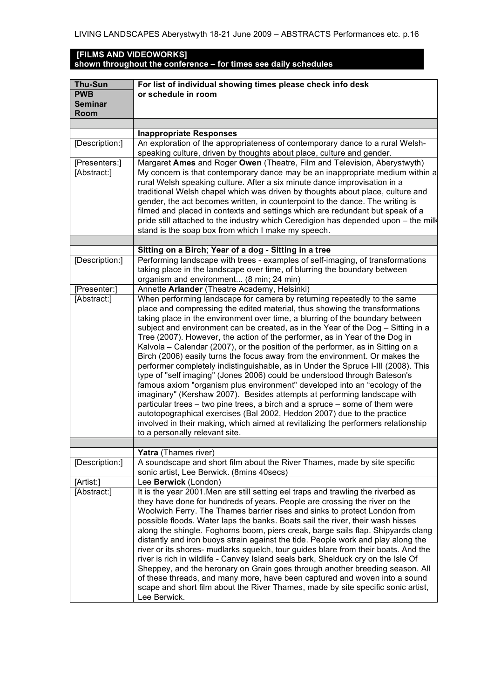## **[FILMS AND VIDEOWORKS] shown throughout the conference – for times see daily schedules**

| <b>Thu-Sun</b> | For list of individual showing times please check info desk                                                                                                       |  |  |  |  |  |
|----------------|-------------------------------------------------------------------------------------------------------------------------------------------------------------------|--|--|--|--|--|
| <b>PWB</b>     | or schedule in room                                                                                                                                               |  |  |  |  |  |
| <b>Seminar</b> |                                                                                                                                                                   |  |  |  |  |  |
| Room           |                                                                                                                                                                   |  |  |  |  |  |
|                |                                                                                                                                                                   |  |  |  |  |  |
|                | <b>Inappropriate Responses</b>                                                                                                                                    |  |  |  |  |  |
| [Description:] | An exploration of the appropriateness of contemporary dance to a rural Welsh-                                                                                     |  |  |  |  |  |
|                | speaking culture, driven by thoughts about place, culture and gender.                                                                                             |  |  |  |  |  |
| [Presenters:]  | Margaret Ames and Roger Owen (Theatre, Film and Television, Aberystwyth)                                                                                          |  |  |  |  |  |
| [Abstract:]    | My concern is that contemporary dance may be an inappropriate medium within a                                                                                     |  |  |  |  |  |
|                | rural Welsh speaking culture. After a six minute dance improvisation in a                                                                                         |  |  |  |  |  |
|                | traditional Welsh chapel which was driven by thoughts about place, culture and                                                                                    |  |  |  |  |  |
|                | gender, the act becomes written, in counterpoint to the dance. The writing is                                                                                     |  |  |  |  |  |
|                | filmed and placed in contexts and settings which are redundant but speak of a                                                                                     |  |  |  |  |  |
|                | pride still attached to the industry which Ceredigion has depended upon - the milk                                                                                |  |  |  |  |  |
|                | stand is the soap box from which I make my speech.                                                                                                                |  |  |  |  |  |
|                |                                                                                                                                                                   |  |  |  |  |  |
|                | Sitting on a Birch; Year of a dog - Sitting in a tree                                                                                                             |  |  |  |  |  |
| [Description:] | Performing landscape with trees - examples of self-imaging, of transformations                                                                                    |  |  |  |  |  |
|                | taking place in the landscape over time, of blurring the boundary between                                                                                         |  |  |  |  |  |
|                | organism and environment (8 min; 24 min)                                                                                                                          |  |  |  |  |  |
| [Presenter:]   | Annette Arlander (Theatre Academy, Helsinki)                                                                                                                      |  |  |  |  |  |
| [Abstract:]    | When performing landscape for camera by returning repeatedly to the same                                                                                          |  |  |  |  |  |
|                | place and compressing the edited material, thus showing the transformations                                                                                       |  |  |  |  |  |
|                | taking place in the environment over time, a blurring of the boundary between<br>subject and environment can be created, as in the Year of the Dog - Sitting in a |  |  |  |  |  |
|                | Tree (2007). However, the action of the performer, as in Year of the Dog in                                                                                       |  |  |  |  |  |
|                | Kalvola - Calendar (2007), or the position of the performer, as in Sitting on a                                                                                   |  |  |  |  |  |
|                | Birch (2006) easily turns the focus away from the environment. Or makes the                                                                                       |  |  |  |  |  |
|                | performer completely indistinguishable, as in Under the Spruce I-III (2008). This                                                                                 |  |  |  |  |  |
|                | type of "self imaging" (Jones 2006) could be understood through Bateson's                                                                                         |  |  |  |  |  |
|                | famous axiom "organism plus environment" developed into an "ecology of the                                                                                        |  |  |  |  |  |
|                | imaginary" (Kershaw 2007). Besides attempts at performing landscape with                                                                                          |  |  |  |  |  |
|                | particular trees – two pine trees, a birch and a spruce – some of them were                                                                                       |  |  |  |  |  |
|                | autotopographical exercises (Bal 2002, Heddon 2007) due to the practice                                                                                           |  |  |  |  |  |
|                | involved in their making, which aimed at revitalizing the performers relationship                                                                                 |  |  |  |  |  |
|                | to a personally relevant site.                                                                                                                                    |  |  |  |  |  |
|                |                                                                                                                                                                   |  |  |  |  |  |
|                | Yatra (Thames river)                                                                                                                                              |  |  |  |  |  |
| [Description:] | A soundscape and short film about the River Thames, made by site specific                                                                                         |  |  |  |  |  |
|                | sonic artist, Lee Berwick. (8mins 40secs)                                                                                                                         |  |  |  |  |  |
| [Artist:]      | Lee Berwick (London)                                                                                                                                              |  |  |  |  |  |
| [Abstract:]    | It is the year 2001. Men are still setting eel traps and trawling the riverbed as                                                                                 |  |  |  |  |  |
|                | they have done for hundreds of years. People are crossing the river on the                                                                                        |  |  |  |  |  |
|                | Woolwich Ferry. The Thames barrier rises and sinks to protect London from                                                                                         |  |  |  |  |  |
|                | possible floods. Water laps the banks. Boats sail the river, their wash hisses                                                                                    |  |  |  |  |  |
|                | along the shingle. Foghorns boom, piers creak, barge sails flap. Shipyards clang                                                                                  |  |  |  |  |  |
|                | distantly and iron buoys strain against the tide. People work and play along the                                                                                  |  |  |  |  |  |
|                | river or its shores- mudlarks squelch, tour guides blare from their boats. And the                                                                                |  |  |  |  |  |
|                | river is rich in wildlife - Canvey Island seals bark, Shelduck cry on the Isle Of<br>Sheppey, and the heronary on Grain goes through another breeding season. All |  |  |  |  |  |
|                | of these threads, and many more, have been captured and woven into a sound                                                                                        |  |  |  |  |  |
|                | scape and short film about the River Thames, made by site specific sonic artist,                                                                                  |  |  |  |  |  |
|                | Lee Berwick.                                                                                                                                                      |  |  |  |  |  |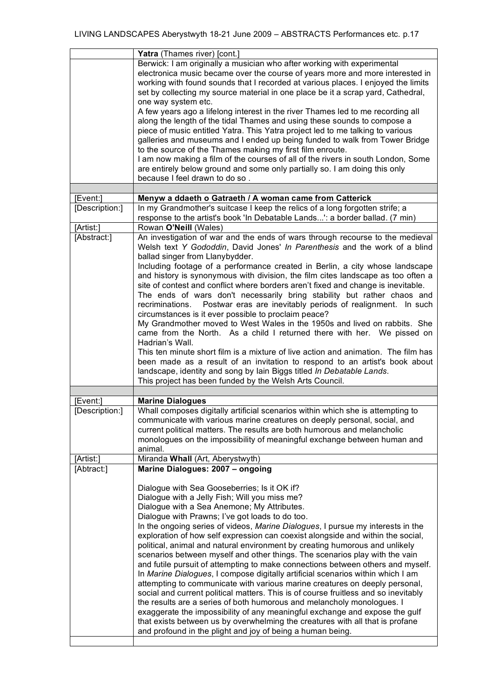|                             | Yatra (Thames river) [cont.]                                                                                                                                                                                                                                                                                                                                                                                                                                                                                                                                                                                                                                                                                                                                                                                                                                                                                                                                                                                                                                                                                                                                                                                                |  |  |  |  |  |
|-----------------------------|-----------------------------------------------------------------------------------------------------------------------------------------------------------------------------------------------------------------------------------------------------------------------------------------------------------------------------------------------------------------------------------------------------------------------------------------------------------------------------------------------------------------------------------------------------------------------------------------------------------------------------------------------------------------------------------------------------------------------------------------------------------------------------------------------------------------------------------------------------------------------------------------------------------------------------------------------------------------------------------------------------------------------------------------------------------------------------------------------------------------------------------------------------------------------------------------------------------------------------|--|--|--|--|--|
|                             | Berwick: I am originally a musician who after working with experimental<br>electronica music became over the course of years more and more interested in<br>working with found sounds that I recorded at various places. I enjoyed the limits<br>set by collecting my source material in one place be it a scrap yard, Cathedral,<br>one way system etc.<br>A few years ago a lifelong interest in the river Thames led to me recording all<br>along the length of the tidal Thames and using these sounds to compose a<br>piece of music entitled Yatra. This Yatra project led to me talking to various<br>galleries and museums and I ended up being funded to walk from Tower Bridge<br>to the source of the Thames making my first film enroute.<br>I am now making a film of the courses of all of the rivers in south London, Some                                                                                                                                                                                                                                                                                                                                                                                   |  |  |  |  |  |
|                             | are entirely below ground and some only partially so. I am doing this only<br>because I feel drawn to do so.                                                                                                                                                                                                                                                                                                                                                                                                                                                                                                                                                                                                                                                                                                                                                                                                                                                                                                                                                                                                                                                                                                                |  |  |  |  |  |
|                             |                                                                                                                                                                                                                                                                                                                                                                                                                                                                                                                                                                                                                                                                                                                                                                                                                                                                                                                                                                                                                                                                                                                                                                                                                             |  |  |  |  |  |
| [Event:]                    | Menyw a ddaeth o Gatraeth / A woman came from Catterick                                                                                                                                                                                                                                                                                                                                                                                                                                                                                                                                                                                                                                                                                                                                                                                                                                                                                                                                                                                                                                                                                                                                                                     |  |  |  |  |  |
| [Description:]<br>[Artist:] | In my Grandmother's suitcase I keep the relics of a long forgotten strife; a<br>response to the artist's book 'In Debatable Lands': a border ballad. (7 min)<br>Rowan O'Neill (Wales)                                                                                                                                                                                                                                                                                                                                                                                                                                                                                                                                                                                                                                                                                                                                                                                                                                                                                                                                                                                                                                       |  |  |  |  |  |
| [Abstract:]                 | An investigation of war and the ends of wars through recourse to the medieval<br>Welsh text Y Gododdin, David Jones' In Parenthesis and the work of a blind<br>ballad singer from Llanybydder.<br>Including footage of a performance created in Berlin, a city whose landscape<br>and history is synonymous with division, the film cites landscape as too often a<br>site of contest and conflict where borders aren't fixed and change is inevitable.<br>The ends of wars don't necessarily bring stability but rather chaos and<br>Postwar eras are inevitably periods of realignment. In such<br>recriminations.<br>circumstances is it ever possible to proclaim peace?<br>My Grandmother moved to West Wales in the 1950s and lived on rabbits. She<br>came from the North. As a child I returned there with her. We pissed on<br>Hadrian's Wall.<br>This ten minute short film is a mixture of live action and animation. The film has<br>been made as a result of an invitation to respond to an artist's book about<br>landscape, identity and song by lain Biggs titled In Debatable Lands.<br>This project has been funded by the Welsh Arts Council.                                                            |  |  |  |  |  |
| [Event:]                    | <b>Marine Dialogues</b>                                                                                                                                                                                                                                                                                                                                                                                                                                                                                                                                                                                                                                                                                                                                                                                                                                                                                                                                                                                                                                                                                                                                                                                                     |  |  |  |  |  |
| [Description:]              | Whall composes digitally artificial scenarios within which she is attempting to<br>communicate with various marine creatures on deeply personal, social, and<br>current political matters. The results are both humorous and melancholic<br>monologues on the impossibility of meaningful exchange between human and<br>animal.                                                                                                                                                                                                                                                                                                                                                                                                                                                                                                                                                                                                                                                                                                                                                                                                                                                                                             |  |  |  |  |  |
| [Artist:]                   | Miranda Whall (Art, Aberystwyth)                                                                                                                                                                                                                                                                                                                                                                                                                                                                                                                                                                                                                                                                                                                                                                                                                                                                                                                                                                                                                                                                                                                                                                                            |  |  |  |  |  |
| [Abtract:]                  | Marine Dialogues: 2007 - ongoing<br>Dialogue with Sea Gooseberries; Is it OK if?<br>Dialogue with a Jelly Fish; Will you miss me?<br>Dialogue with a Sea Anemone; My Attributes.<br>Dialogue with Prawns; I've got loads to do too.<br>In the ongoing series of videos, Marine Dialogues, I pursue my interests in the<br>exploration of how self expression can coexist alongside and within the social,<br>political, animal and natural environment by creating humorous and unlikely<br>scenarios between myself and other things. The scenarios play with the vain<br>and futile pursuit of attempting to make connections between others and myself.<br>In Marine Dialogues, I compose digitally artificial scenarios within which I am<br>attempting to communicate with various marine creatures on deeply personal,<br>social and current political matters. This is of course fruitless and so inevitably<br>the results are a series of both humorous and melancholy monologues. I<br>exaggerate the impossibility of any meaningful exchange and expose the gulf<br>that exists between us by overwhelming the creatures with all that is profane<br>and profound in the plight and joy of being a human being. |  |  |  |  |  |
|                             |                                                                                                                                                                                                                                                                                                                                                                                                                                                                                                                                                                                                                                                                                                                                                                                                                                                                                                                                                                                                                                                                                                                                                                                                                             |  |  |  |  |  |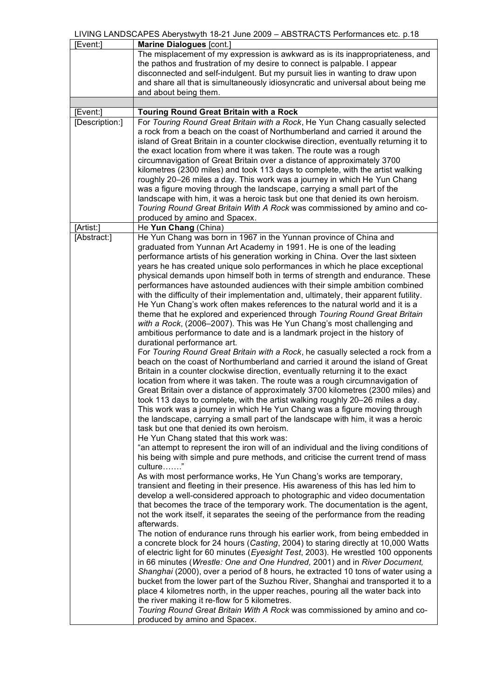| [Event:]                                                                        | Marine Dialogues [cont.]                                                              |  |  |  |  |  |
|---------------------------------------------------------------------------------|---------------------------------------------------------------------------------------|--|--|--|--|--|
|                                                                                 | The misplacement of my expression is awkward as is its inappropriateness, and         |  |  |  |  |  |
|                                                                                 | the pathos and frustration of my desire to connect is palpable. I appear              |  |  |  |  |  |
|                                                                                 | disconnected and self-indulgent. But my pursuit lies in wanting to draw upon          |  |  |  |  |  |
|                                                                                 | and share all that is simultaneously idiosyncratic and universal about being me       |  |  |  |  |  |
|                                                                                 |                                                                                       |  |  |  |  |  |
|                                                                                 | and about being them.                                                                 |  |  |  |  |  |
|                                                                                 |                                                                                       |  |  |  |  |  |
| [Event:]                                                                        | <b>Touring Round Great Britain with a Rock</b>                                        |  |  |  |  |  |
| [Description:]                                                                  | For Touring Round Great Britain with a Rock, He Yun Chang casually selected           |  |  |  |  |  |
|                                                                                 | a rock from a beach on the coast of Northumberland and carried it around the          |  |  |  |  |  |
|                                                                                 | island of Great Britain in a counter clockwise direction, eventually returning it to  |  |  |  |  |  |
|                                                                                 | the exact location from where it was taken. The route was a rough                     |  |  |  |  |  |
|                                                                                 | circumnavigation of Great Britain over a distance of approximately 3700               |  |  |  |  |  |
|                                                                                 | kilometres (2300 miles) and took 113 days to complete, with the artist walking        |  |  |  |  |  |
|                                                                                 | roughly 20-26 miles a day. This work was a journey in which He Yun Chang              |  |  |  |  |  |
|                                                                                 | was a figure moving through the landscape, carrying a small part of the               |  |  |  |  |  |
|                                                                                 | landscape with him, it was a heroic task but one that denied its own heroism.         |  |  |  |  |  |
|                                                                                 | Touring Round Great Britain With A Rock was commissioned by amino and co-             |  |  |  |  |  |
|                                                                                 | produced by amino and Spacex.                                                         |  |  |  |  |  |
| [Artist:]                                                                       | He Yun Chang (China)                                                                  |  |  |  |  |  |
| [Abstract:]                                                                     | He Yun Chang was born in 1967 in the Yunnan province of China and                     |  |  |  |  |  |
|                                                                                 | graduated from Yunnan Art Academy in 1991. He is one of the leading                   |  |  |  |  |  |
|                                                                                 | performance artists of his generation working in China. Over the last sixteen         |  |  |  |  |  |
|                                                                                 |                                                                                       |  |  |  |  |  |
|                                                                                 | years he has created unique solo performances in which he place exceptional           |  |  |  |  |  |
|                                                                                 | physical demands upon himself both in terms of strength and endurance. These          |  |  |  |  |  |
|                                                                                 | performances have astounded audiences with their simple ambition combined             |  |  |  |  |  |
|                                                                                 | with the difficulty of their implementation and, ultimately, their apparent futility. |  |  |  |  |  |
|                                                                                 | He Yun Chang's work often makes references to the natural world and it is a           |  |  |  |  |  |
|                                                                                 | theme that he explored and experienced through Touring Round Great Britain            |  |  |  |  |  |
|                                                                                 | with a Rock, (2006-2007). This was He Yun Chang's most challenging and                |  |  |  |  |  |
|                                                                                 | ambitious performance to date and is a landmark project in the history of             |  |  |  |  |  |
|                                                                                 | durational performance art.                                                           |  |  |  |  |  |
| For Touring Round Great Britain with a Rock, he casually selected a rock from a |                                                                                       |  |  |  |  |  |
|                                                                                 | beach on the coast of Northumberland and carried it around the island of Great        |  |  |  |  |  |
|                                                                                 | Britain in a counter clockwise direction, eventually returning it to the exact        |  |  |  |  |  |
|                                                                                 | location from where it was taken. The route was a rough circumnavigation of           |  |  |  |  |  |
|                                                                                 | Great Britain over a distance of approximately 3700 kilometres (2300 miles) and       |  |  |  |  |  |
|                                                                                 | took 113 days to complete, with the artist walking roughly 20-26 miles a day.         |  |  |  |  |  |
|                                                                                 | This work was a journey in which He Yun Chang was a figure moving through             |  |  |  |  |  |
|                                                                                 | the landscape, carrying a small part of the landscape with him, it was a heroic       |  |  |  |  |  |
|                                                                                 | task but one that denied its own heroism.                                             |  |  |  |  |  |
|                                                                                 | He Yun Chang stated that this work was:                                               |  |  |  |  |  |
|                                                                                 | "an attempt to represent the iron will of an individual and the living conditions of  |  |  |  |  |  |
|                                                                                 | his being with simple and pure methods, and criticise the current trend of mass       |  |  |  |  |  |
|                                                                                 | culture"                                                                              |  |  |  |  |  |
|                                                                                 | As with most performance works, He Yun Chang's works are temporary,                   |  |  |  |  |  |
|                                                                                 | transient and fleeting in their presence. His awareness of this has led him to        |  |  |  |  |  |
|                                                                                 |                                                                                       |  |  |  |  |  |
|                                                                                 | develop a well-considered approach to photographic and video documentation            |  |  |  |  |  |
|                                                                                 | that becomes the trace of the temporary work. The documentation is the agent,         |  |  |  |  |  |
|                                                                                 | not the work itself, it separates the seeing of the performance from the reading      |  |  |  |  |  |
|                                                                                 | afterwards.                                                                           |  |  |  |  |  |
|                                                                                 | The notion of endurance runs through his earlier work, from being embedded in         |  |  |  |  |  |
|                                                                                 | a concrete block for 24 hours (Casting, 2004) to staring directly at 10,000 Watts     |  |  |  |  |  |
|                                                                                 | of electric light for 60 minutes (Eyesight Test, 2003). He wrestled 100 opponents     |  |  |  |  |  |
|                                                                                 | in 66 minutes (Wrestle: One and One Hundred, 2001) and in River Document,             |  |  |  |  |  |
|                                                                                 | Shanghai (2000), over a period of 8 hours, he extracted 10 tons of water using a      |  |  |  |  |  |
|                                                                                 | bucket from the lower part of the Suzhou River, Shanghai and transported it to a      |  |  |  |  |  |
|                                                                                 | place 4 kilometres north, in the upper reaches, pouring all the water back into       |  |  |  |  |  |
|                                                                                 | the river making it re-flow for 5 kilometres.                                         |  |  |  |  |  |
|                                                                                 | Touring Round Great Britain With A Rock was commissioned by amino and co-             |  |  |  |  |  |
|                                                                                 | produced by amino and Spacex.                                                         |  |  |  |  |  |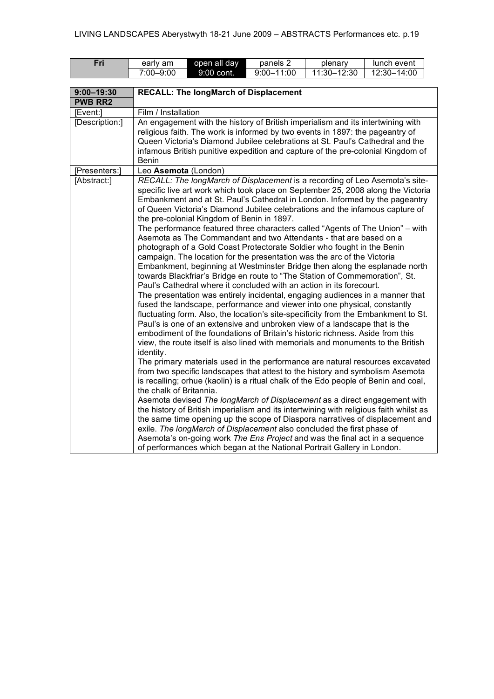| Fri            | early am                                                                                                                                                                                                                                                                                                                                                                                                                                                                                                                                                                                                                                                                                                                                                                                                                                                                                                                                                                                                                                                                                                                                                                                                                                                                                                                                                                                                                                                                                                                                                                                                                                                                                                                                                                                                                                                                                                                                                                                                                                                                                                                                                                                                                                                   | open all day                                                                                                                                                                                                                                                                                                                         | panels 2                          | plenary | lunch event |  |  |  |  |
|----------------|------------------------------------------------------------------------------------------------------------------------------------------------------------------------------------------------------------------------------------------------------------------------------------------------------------------------------------------------------------------------------------------------------------------------------------------------------------------------------------------------------------------------------------------------------------------------------------------------------------------------------------------------------------------------------------------------------------------------------------------------------------------------------------------------------------------------------------------------------------------------------------------------------------------------------------------------------------------------------------------------------------------------------------------------------------------------------------------------------------------------------------------------------------------------------------------------------------------------------------------------------------------------------------------------------------------------------------------------------------------------------------------------------------------------------------------------------------------------------------------------------------------------------------------------------------------------------------------------------------------------------------------------------------------------------------------------------------------------------------------------------------------------------------------------------------------------------------------------------------------------------------------------------------------------------------------------------------------------------------------------------------------------------------------------------------------------------------------------------------------------------------------------------------------------------------------------------------------------------------------------------------|--------------------------------------------------------------------------------------------------------------------------------------------------------------------------------------------------------------------------------------------------------------------------------------------------------------------------------------|-----------------------------------|---------|-------------|--|--|--|--|
|                | $7:00 - 9:00$<br>9:00 cont.                                                                                                                                                                                                                                                                                                                                                                                                                                                                                                                                                                                                                                                                                                                                                                                                                                                                                                                                                                                                                                                                                                                                                                                                                                                                                                                                                                                                                                                                                                                                                                                                                                                                                                                                                                                                                                                                                                                                                                                                                                                                                                                                                                                                                                |                                                                                                                                                                                                                                                                                                                                      | $9:00 - 11:00$<br>$11:30 - 12:30$ |         | 12:30-14:00 |  |  |  |  |
|                |                                                                                                                                                                                                                                                                                                                                                                                                                                                                                                                                                                                                                                                                                                                                                                                                                                                                                                                                                                                                                                                                                                                                                                                                                                                                                                                                                                                                                                                                                                                                                                                                                                                                                                                                                                                                                                                                                                                                                                                                                                                                                                                                                                                                                                                            |                                                                                                                                                                                                                                                                                                                                      |                                   |         |             |  |  |  |  |
| $9:00 - 19:30$ | <b>RECALL: The longMarch of Displacement</b>                                                                                                                                                                                                                                                                                                                                                                                                                                                                                                                                                                                                                                                                                                                                                                                                                                                                                                                                                                                                                                                                                                                                                                                                                                                                                                                                                                                                                                                                                                                                                                                                                                                                                                                                                                                                                                                                                                                                                                                                                                                                                                                                                                                                               |                                                                                                                                                                                                                                                                                                                                      |                                   |         |             |  |  |  |  |
| <b>PWB RR2</b> |                                                                                                                                                                                                                                                                                                                                                                                                                                                                                                                                                                                                                                                                                                                                                                                                                                                                                                                                                                                                                                                                                                                                                                                                                                                                                                                                                                                                                                                                                                                                                                                                                                                                                                                                                                                                                                                                                                                                                                                                                                                                                                                                                                                                                                                            |                                                                                                                                                                                                                                                                                                                                      |                                   |         |             |  |  |  |  |
| [Event:]       |                                                                                                                                                                                                                                                                                                                                                                                                                                                                                                                                                                                                                                                                                                                                                                                                                                                                                                                                                                                                                                                                                                                                                                                                                                                                                                                                                                                                                                                                                                                                                                                                                                                                                                                                                                                                                                                                                                                                                                                                                                                                                                                                                                                                                                                            | Film / Installation                                                                                                                                                                                                                                                                                                                  |                                   |         |             |  |  |  |  |
| [Description:] | Benin                                                                                                                                                                                                                                                                                                                                                                                                                                                                                                                                                                                                                                                                                                                                                                                                                                                                                                                                                                                                                                                                                                                                                                                                                                                                                                                                                                                                                                                                                                                                                                                                                                                                                                                                                                                                                                                                                                                                                                                                                                                                                                                                                                                                                                                      | An engagement with the history of British imperialism and its intertwining with<br>religious faith. The work is informed by two events in 1897: the pageantry of<br>Queen Victoria's Diamond Jubilee celebrations at St. Paul's Cathedral and the<br>infamous British punitive expedition and capture of the pre-colonial Kingdom of |                                   |         |             |  |  |  |  |
| [Presenters:]  |                                                                                                                                                                                                                                                                                                                                                                                                                                                                                                                                                                                                                                                                                                                                                                                                                                                                                                                                                                                                                                                                                                                                                                                                                                                                                                                                                                                                                                                                                                                                                                                                                                                                                                                                                                                                                                                                                                                                                                                                                                                                                                                                                                                                                                                            |                                                                                                                                                                                                                                                                                                                                      |                                   |         |             |  |  |  |  |
| [Abstract:]    | Leo Asemota (London)<br>RECALL: The longMarch of Displacement is a recording of Leo Asemota's site-<br>specific live art work which took place on September 25, 2008 along the Victoria<br>Embankment and at St. Paul's Cathedral in London. Informed by the pageantry<br>of Queen Victoria's Diamond Jubilee celebrations and the infamous capture of<br>the pre-colonial Kingdom of Benin in 1897.<br>The performance featured three characters called "Agents of The Union" - with<br>Asemota as The Commandant and two Attendants - that are based on a<br>photograph of a Gold Coast Protectorate Soldier who fought in the Benin<br>campaign. The location for the presentation was the arc of the Victoria<br>Embankment, beginning at Westminster Bridge then along the esplanade north<br>towards Blackfriar's Bridge en route to "The Station of Commemoration", St.<br>Paul's Cathedral where it concluded with an action in its forecourt.<br>The presentation was entirely incidental, engaging audiences in a manner that<br>fused the landscape, performance and viewer into one physical, constantly<br>fluctuating form. Also, the location's site-specificity from the Embankment to St.<br>Paul's is one of an extensive and unbroken view of a landscape that is the<br>embodiment of the foundations of Britain's historic richness. Aside from this<br>view, the route itself is also lined with memorials and monuments to the British<br>identity.<br>The primary materials used in the performance are natural resources excavated<br>from two specific landscapes that attest to the history and symbolism Asemota<br>is recalling; orhue (kaolin) is a ritual chalk of the Edo people of Benin and coal,<br>the chalk of Britannia.<br>Asemota devised The longMarch of Displacement as a direct engagement with<br>the history of British imperialism and its intertwining with religious faith whilst as<br>the same time opening up the scope of Diaspora narratives of displacement and<br>exile. The longMarch of Displacement also concluded the first phase of<br>Asemota's on-going work The Ens Project and was the final act in a sequence<br>of performances which began at the National Portrait Gallery in London. |                                                                                                                                                                                                                                                                                                                                      |                                   |         |             |  |  |  |  |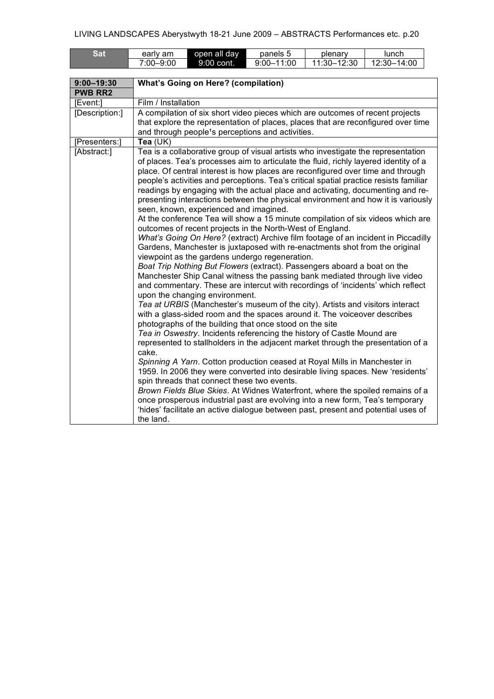| <b>Sat</b>                       | early am                                                                                                                                                                                                                            | open all day                                                                                                            | panels 5                                                                                                                                                                                                                                                                                                                                                                                                                                                                                                                                                                                                                                               | plenary     | lunch                                                                                                                                                                                                                                                                                                                                                                                                                                                                                                                                                                                                                                                                                                                                                                                                                                                                                                                                                                                                                                                                                                                                                                                                                                                                                              |
|----------------------------------|-------------------------------------------------------------------------------------------------------------------------------------------------------------------------------------------------------------------------------------|-------------------------------------------------------------------------------------------------------------------------|--------------------------------------------------------------------------------------------------------------------------------------------------------------------------------------------------------------------------------------------------------------------------------------------------------------------------------------------------------------------------------------------------------------------------------------------------------------------------------------------------------------------------------------------------------------------------------------------------------------------------------------------------------|-------------|----------------------------------------------------------------------------------------------------------------------------------------------------------------------------------------------------------------------------------------------------------------------------------------------------------------------------------------------------------------------------------------------------------------------------------------------------------------------------------------------------------------------------------------------------------------------------------------------------------------------------------------------------------------------------------------------------------------------------------------------------------------------------------------------------------------------------------------------------------------------------------------------------------------------------------------------------------------------------------------------------------------------------------------------------------------------------------------------------------------------------------------------------------------------------------------------------------------------------------------------------------------------------------------------------|
|                                  | 7:00-9:00                                                                                                                                                                                                                           | 9:00 cont.                                                                                                              | $9:00 - 11:00$                                                                                                                                                                                                                                                                                                                                                                                                                                                                                                                                                                                                                                         | 11:30-12:30 | 12:30-14:00                                                                                                                                                                                                                                                                                                                                                                                                                                                                                                                                                                                                                                                                                                                                                                                                                                                                                                                                                                                                                                                                                                                                                                                                                                                                                        |
|                                  |                                                                                                                                                                                                                                     |                                                                                                                         |                                                                                                                                                                                                                                                                                                                                                                                                                                                                                                                                                                                                                                                        |             |                                                                                                                                                                                                                                                                                                                                                                                                                                                                                                                                                                                                                                                                                                                                                                                                                                                                                                                                                                                                                                                                                                                                                                                                                                                                                                    |
| $9:00 - 19:30$<br><b>PWB RR2</b> | <b>What's Going on Here? (compilation)</b>                                                                                                                                                                                          |                                                                                                                         |                                                                                                                                                                                                                                                                                                                                                                                                                                                                                                                                                                                                                                                        |             |                                                                                                                                                                                                                                                                                                                                                                                                                                                                                                                                                                                                                                                                                                                                                                                                                                                                                                                                                                                                                                                                                                                                                                                                                                                                                                    |
| [Event:]                         | Film / Installation                                                                                                                                                                                                                 |                                                                                                                         |                                                                                                                                                                                                                                                                                                                                                                                                                                                                                                                                                                                                                                                        |             |                                                                                                                                                                                                                                                                                                                                                                                                                                                                                                                                                                                                                                                                                                                                                                                                                                                                                                                                                                                                                                                                                                                                                                                                                                                                                                    |
| [Description:]                   | A compilation of six short video pieces which are outcomes of recent projects<br>that explore the representation of places, places that are reconfigured over time<br>and through people <sup>1</sup> s perceptions and activities. |                                                                                                                         |                                                                                                                                                                                                                                                                                                                                                                                                                                                                                                                                                                                                                                                        |             |                                                                                                                                                                                                                                                                                                                                                                                                                                                                                                                                                                                                                                                                                                                                                                                                                                                                                                                                                                                                                                                                                                                                                                                                                                                                                                    |
| [Presenters:]                    | Tea $(UK)$                                                                                                                                                                                                                          |                                                                                                                         |                                                                                                                                                                                                                                                                                                                                                                                                                                                                                                                                                                                                                                                        |             |                                                                                                                                                                                                                                                                                                                                                                                                                                                                                                                                                                                                                                                                                                                                                                                                                                                                                                                                                                                                                                                                                                                                                                                                                                                                                                    |
| [Abstract:]                      | cake.<br>the land.                                                                                                                                                                                                                  | seen, known, experienced and imagined.<br>upon the changing environment.<br>spin threads that connect these two events. | outcomes of recent projects in the North-West of England.<br>Gardens, Manchester is juxtaposed with re-enactments shot from the original<br>viewpoint as the gardens undergo regeneration.<br>Boat Trip Nothing But Flowers (extract). Passengers aboard a boat on the<br>Tea at URBIS (Manchester's museum of the city). Artists and visitors interact<br>with a glass-sided room and the spaces around it. The voiceover describes<br>photographs of the building that once stood on the site<br>Tea in Oswestry. Incidents referencing the history of Castle Mound are<br>Spinning A Yarn. Cotton production ceased at Royal Mills in Manchester in |             | Tea is a collaborative group of visual artists who investigate the representation<br>of places. Tea's processes aim to articulate the fluid, richly layered identity of a<br>place. Of central interest is how places are reconfigured over time and through<br>people's activities and perceptions. Tea's critical spatial practice resists familiar<br>readings by engaging with the actual place and activating, documenting and re-<br>presenting interactions between the physical environment and how it is variously<br>At the conference Tea will show a 15 minute compilation of six videos which are<br>What's Going On Here? (extract) Archive film footage of an incident in Piccadilly<br>Manchester Ship Canal witness the passing bank mediated through live video<br>and commentary. These are intercut with recordings of 'incidents' which reflect<br>represented to stallholders in the adjacent market through the presentation of a<br>1959. In 2006 they were converted into desirable living spaces. New 'residents'<br>Brown Fields Blue Skies. At Widnes Waterfront, where the spoiled remains of a<br>once prosperous industrial past are evolving into a new form, Tea's temporary<br>'hides' facilitate an active dialogue between past, present and potential uses of |